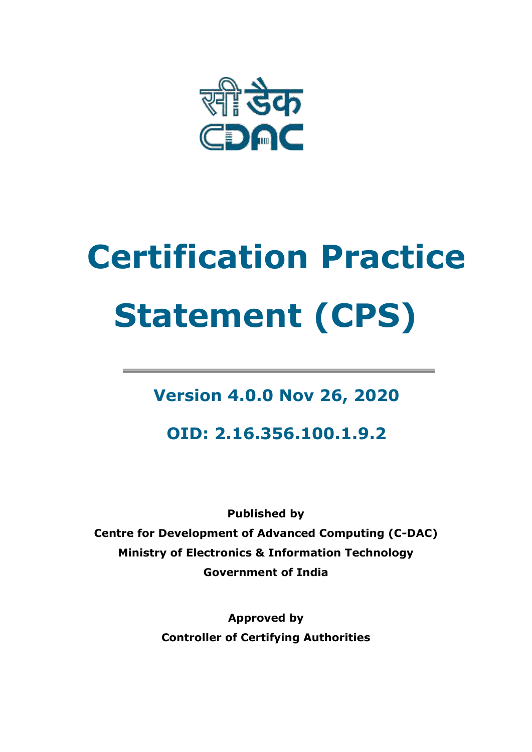

# **Certification Practice Statement (CPS)**

# **Version 4.0.0 Nov 26, 2020**

**OID: 2.16.356.100.1.9.2**

**Published by Centre for Development of Advanced Computing (C-DAC) Ministry of Electronics & Information Technology Government of India**

> **Approved by Controller of Certifying Authorities**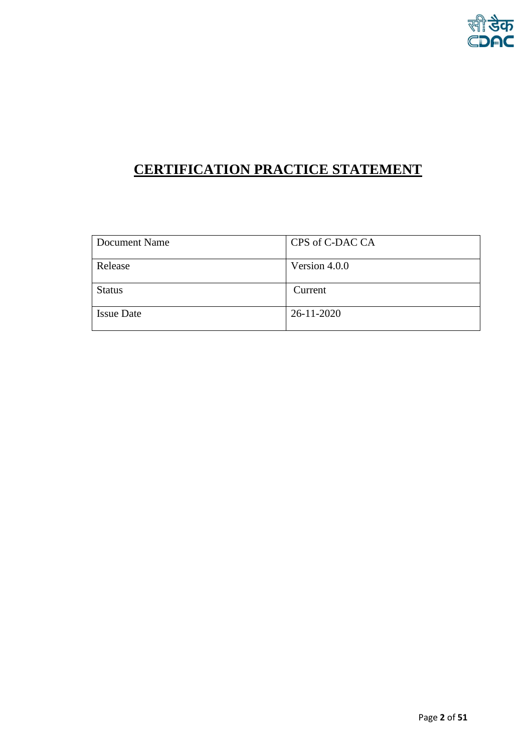# **CERTIFICATION PRACTICE STATEMENT**

| Document Name     | CPS of C-DAC CA  |
|-------------------|------------------|
| Release           | Version 4.0.0    |
| <b>Status</b>     | Current          |
| <b>Issue Date</b> | $26 - 11 - 2020$ |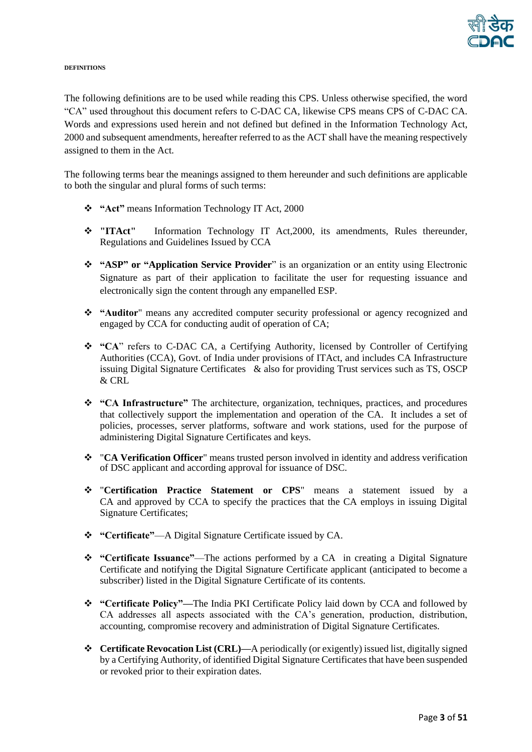

#### **DEFINITIONS**

The following definitions are to be used while reading this CPS. Unless otherwise specified, the word "CA" used throughout this document refers to C-DAC CA, likewise CPS means CPS of C-DAC CA. Words and expressions used herein and not defined but defined in the Information Technology Act, 2000 and subsequent amendments, hereafter referred to as the ACT shall have the meaning respectively assigned to them in the Act.

The following terms bear the meanings assigned to them hereunder and such definitions are applicable to both the singular and plural forms of such terms:

- ❖ **"Act"** means Information Technology IT Act, 2000
- ❖ **"ITAct"** Information Technology IT Act,2000, its amendments, Rules thereunder, Regulations and Guidelines Issued by CCA
- ❖ **"ASP" or "Application Service Provider**" is an organization or an entity using Electronic Signature as part of their application to facilitate the user for requesting issuance and electronically sign the content through any empanelled ESP.
- ❖ **"Auditor**" means any accredited computer security professional or agency recognized and engaged by CCA for conducting audit of operation of CA;
- ❖ **"CA**" refers to C-DAC CA, a Certifying Authority, licensed by Controller of Certifying Authorities (CCA), Govt. of India under provisions of ITAct, and includes CA Infrastructure issuing Digital Signature Certificates & also for providing Trust services such as TS, OSCP & CRL
- ❖ **"CA Infrastructure"** The architecture, organization, techniques, practices, and procedures that collectively support the implementation and operation of the CA. It includes a set of policies, processes, server platforms, software and work stations, used for the purpose of administering Digital Signature Certificates and keys.
- ❖ "**CA Verification Officer**" means trusted person involved in identity and address verification of DSC applicant and according approval for issuance of DSC.
- ❖ "**Certification Practice Statement or CPS**" means a statement issued by a CA and approved by CCA to specify the practices that the CA employs in issuing Digital Signature Certificates;
- ❖ **"Certificate"**—A Digital Signature Certificate issued by CA.
- ❖ **"Certificate Issuance"**—The actions performed by a CA in creating a Digital Signature Certificate and notifying the Digital Signature Certificate applicant (anticipated to become a subscriber) listed in the Digital Signature Certificate of its contents.
- ❖ **"Certificate Policy"—**The India PKI Certificate Policy laid down by CCA and followed by CA addresses all aspects associated with the CA's generation, production, distribution, accounting, compromise recovery and administration of Digital Signature Certificates.
- ❖ **Certificate Revocation List (CRL)—**A periodically (or exigently) issued list, digitally signed by a Certifying Authority, of identified Digital Signature Certificates that have been suspended or revoked prior to their expiration dates.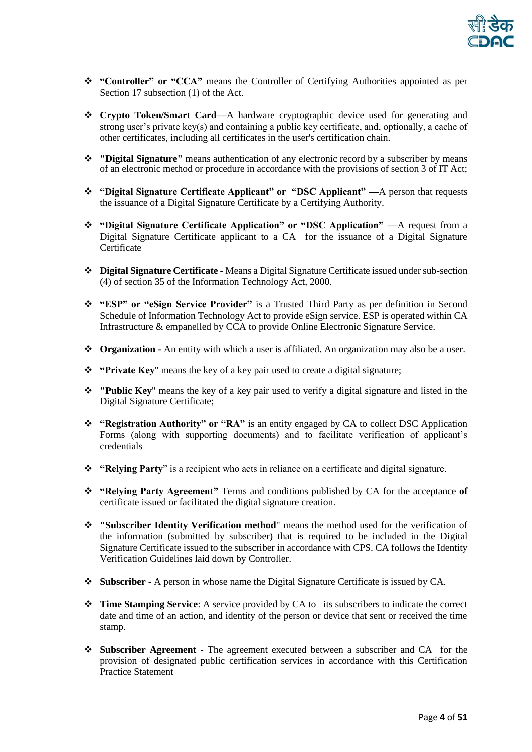

- ❖ **"Controller" or "CCA"** means the Controller of Certifying Authorities appointed as per Section 17 subsection (1) of the Act.
- ❖ **Crypto Token/Smart Card—**A hardware cryptographic device used for generating and strong user's private key(s) and containing a public key certificate, and, optionally, a cache of other certificates, including all certificates in the user's certification chain.
- ❖ **"Digital Signature"** means authentication of any electronic record by a subscriber by means of an electronic method or procedure in accordance with the provisions of section 3 of IT Act;
- ❖ **"Digital Signature Certificate Applicant" or "DSC Applicant" —**A person that requests the issuance of a Digital Signature Certificate by a Certifying Authority.
- ❖ **"Digital Signature Certificate Application" or "DSC Application" —**A request from a Digital Signature Certificate applicant to a CA for the issuance of a Digital Signature Certificate
- ❖ **Digital Signature Certificate -** Means a Digital Signature Certificate issued under sub-section (4) of section 35 of the Information Technology Act, 2000.
- ❖ **"ESP" or "eSign Service Provider"** is a Trusted Third Party as per definition in Second Schedule of Information Technology Act to provide eSign service. ESP is operated within CA Infrastructure & empanelled by CCA to provide Online Electronic Signature Service.
- ❖ **Organization -** An entity with which a user is affiliated. An organization may also be a user.
- ❖ **"Private Key**" means the key of a key pair used to create a digital signature;
- ❖ **"Public Key**" means the key of a key pair used to verify a digital signature and listed in the Digital Signature Certificate;
- ❖ **"Registration Authority" or "RA"** is an entity engaged by CA to collect DSC Application Forms (along with supporting documents) and to facilitate verification of applicant's credentials
- ❖ **"Relying Party**" is a recipient who acts in reliance on a certificate and digital signature.
- ❖ **"Relying Party Agreement"** Terms and conditions published by CA for the acceptance **of**  certificate issued or facilitated the digital signature creation.
- ❖ **"Subscriber Identity Verification method**" means the method used for the verification of the information (submitted by subscriber) that is required to be included in the Digital Signature Certificate issued to the subscriber in accordance with CPS. CA follows the Identity Verification Guidelines laid down by Controller.
- ❖ **Subscriber** A person in whose name the Digital Signature Certificate is issued by CA.
- ❖ **Time Stamping Service**: A service provided by CA to its subscribers to indicate the correct date and time of an action, and identity of the person or device that sent or received the time stamp.
- ❖ **Subscriber Agreement** The agreement executed between a subscriber and CA for the provision of designated public certification services in accordance with this Certification Practice Statement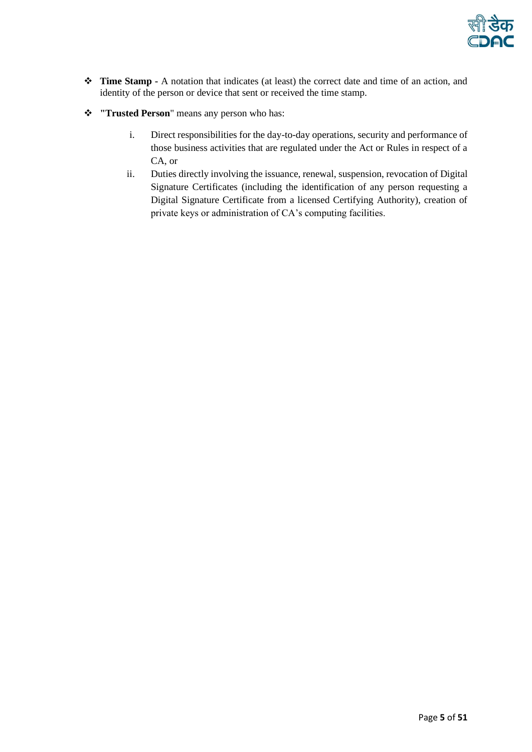

- ❖ **Time Stamp -** A notation that indicates (at least) the correct date and time of an action, and identity of the person or device that sent or received the time stamp.
- ❖ **"Trusted Person**" means any person who has:
	- i. Direct responsibilities for the day-to-day operations, security and performance of those business activities that are regulated under the Act or Rules in respect of a CA, or
	- ii. Duties directly involving the issuance, renewal, suspension, revocation of Digital Signature Certificates (including the identification of any person requesting a Digital Signature Certificate from a licensed Certifying Authority), creation of private keys or administration of CA's computing facilities.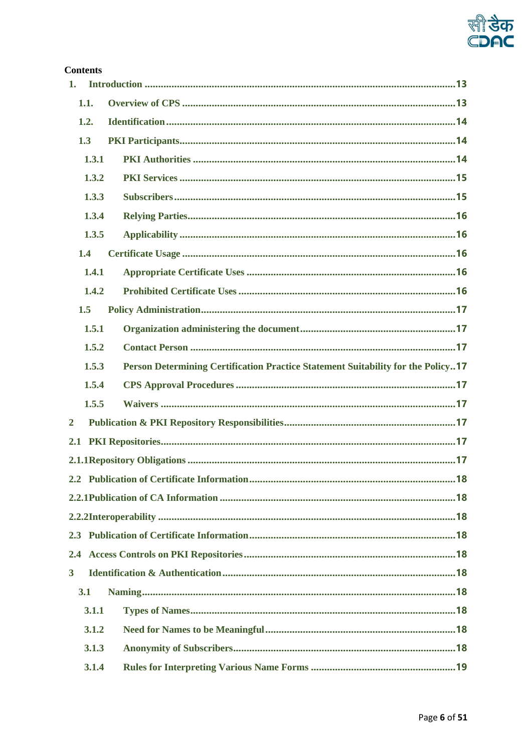

# **Contents**

| 1.             |                                                                                  |
|----------------|----------------------------------------------------------------------------------|
| 1.1.           |                                                                                  |
| 1.2.           |                                                                                  |
| 1.3            |                                                                                  |
| 1.3.1          |                                                                                  |
| 1.3.2          |                                                                                  |
| 1.3.3          |                                                                                  |
| 1.3.4          |                                                                                  |
| 1.3.5          |                                                                                  |
| 1.4            |                                                                                  |
| 1.4.1          |                                                                                  |
| 1.4.2          |                                                                                  |
| 1.5            |                                                                                  |
| 1.5.1          |                                                                                  |
| 1.5.2          |                                                                                  |
| 1.5.3          | Person Determining Certification Practice Statement Suitability for the Policy17 |
| 1.5.4          |                                                                                  |
| 1.5.5          |                                                                                  |
| $\overline{2}$ |                                                                                  |
| 2.1            |                                                                                  |
|                |                                                                                  |
|                | .18                                                                              |
|                |                                                                                  |
|                |                                                                                  |
|                |                                                                                  |
| 2.4            |                                                                                  |
| 3 <sup>1</sup> |                                                                                  |
| 3.1            |                                                                                  |
| 3.1.1          |                                                                                  |
| 3.1.2          |                                                                                  |
| 3.1.3          |                                                                                  |
| 3.1.4          |                                                                                  |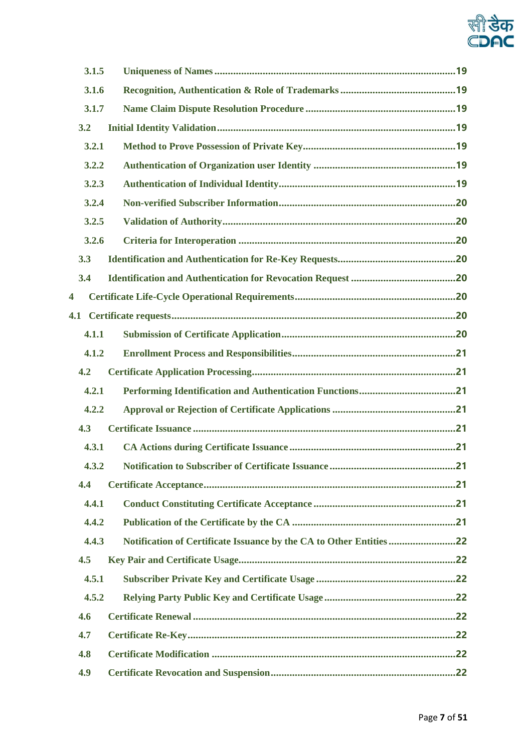

| 3.1.5 |     |
|-------|-----|
| 3.1.6 |     |
| 3.1.7 |     |
| 3.2   |     |
| 3.2.1 |     |
| 3.2.2 |     |
| 3.2.3 |     |
| 3.2.4 |     |
| 3.2.5 |     |
| 3.2.6 |     |
| 3.3   |     |
| 3.4   |     |
| 4     |     |
| 4.1   |     |
| 4.1.1 |     |
| 4.1.2 |     |
| 4.2   |     |
| 4.2.1 |     |
| 4.2.2 |     |
| 4.3   |     |
| 4.3.1 |     |
| 432   | .21 |
| 4.4   |     |
| 4.4.1 |     |
| 4.4.2 |     |
| 4.4.3 |     |
| 4.5   |     |
| 4.5.1 |     |
| 4.5.2 |     |
| 4.6   |     |
| 4.7   |     |
| 4.8   |     |
| 4.9   |     |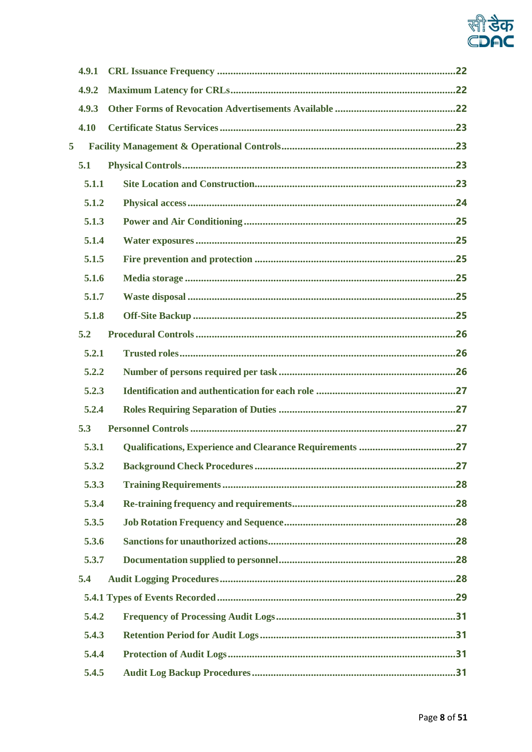

| 4.9.1 |                                                                 |
|-------|-----------------------------------------------------------------|
| 4.9.2 |                                                                 |
| 4.9.3 |                                                                 |
| 4.10  |                                                                 |
| 5     |                                                                 |
| 5.1   |                                                                 |
| 5.1.1 |                                                                 |
| 5.1.2 |                                                                 |
| 5.1.3 |                                                                 |
| 5.1.4 |                                                                 |
| 5.1.5 |                                                                 |
| 5.1.6 |                                                                 |
| 5.1.7 |                                                                 |
| 5.1.8 |                                                                 |
| 5.2   |                                                                 |
| 5.2.1 |                                                                 |
| 5.2.2 |                                                                 |
| 5.2.3 |                                                                 |
| 5.2.4 |                                                                 |
| 5.3   |                                                                 |
| 5.3.1 | <b>Qualifications, Experience and Clearance Requirements 27</b> |
| 5.3.2 | .27                                                             |
| 5.3.3 |                                                                 |
| 5.3.4 |                                                                 |
| 5.3.5 |                                                                 |
| 5.3.6 |                                                                 |
| 5.3.7 |                                                                 |
| 5.4   |                                                                 |
|       |                                                                 |
| 5.4.2 |                                                                 |
| 5.4.3 |                                                                 |
| 5.4.4 |                                                                 |
| 5.4.5 |                                                                 |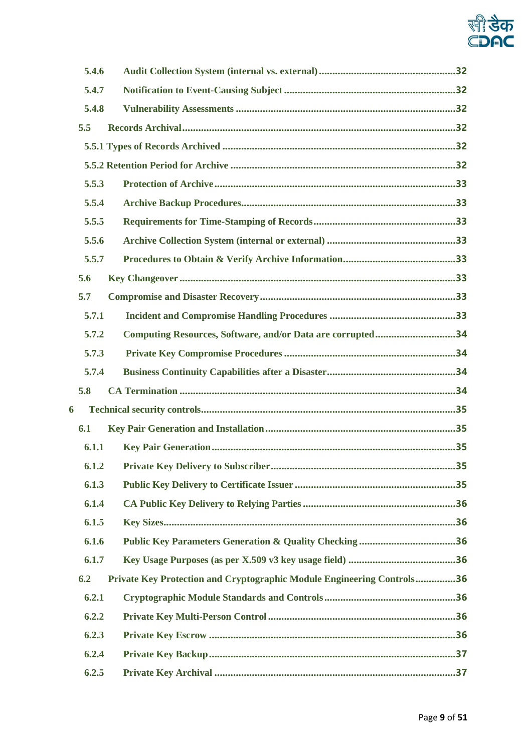

|   | 5.4.6 |                                                                               |
|---|-------|-------------------------------------------------------------------------------|
|   | 5.4.7 |                                                                               |
|   | 5.4.8 |                                                                               |
|   | 5.5   |                                                                               |
|   |       |                                                                               |
|   |       |                                                                               |
|   | 5.5.3 |                                                                               |
|   | 5.5.4 |                                                                               |
|   | 5.5.5 |                                                                               |
|   | 5.5.6 |                                                                               |
|   | 5.5.7 |                                                                               |
|   | 5.6   |                                                                               |
|   | 5.7   |                                                                               |
|   | 5.7.1 |                                                                               |
|   | 5.7.2 | Computing Resources, Software, and/or Data are corrupted34                    |
|   | 5.7.3 |                                                                               |
|   | 5.7.4 |                                                                               |
|   | 5.8   |                                                                               |
| 6 |       |                                                                               |
|   | 6.1   |                                                                               |
|   | 6.1.1 |                                                                               |
|   |       |                                                                               |
|   | 6.1.3 |                                                                               |
|   | 6.1.4 |                                                                               |
|   | 6.1.5 |                                                                               |
|   | 6.1.6 | <b>Public Key Parameters Generation &amp; Quality Checking 36</b>             |
|   | 6.1.7 |                                                                               |
|   | 6.2   | <b>Private Key Protection and Cryptographic Module Engineering Controls36</b> |
|   | 6.2.1 |                                                                               |
|   | 6.2.2 |                                                                               |
|   | 6.2.3 |                                                                               |
|   |       |                                                                               |
|   | 6.2.4 |                                                                               |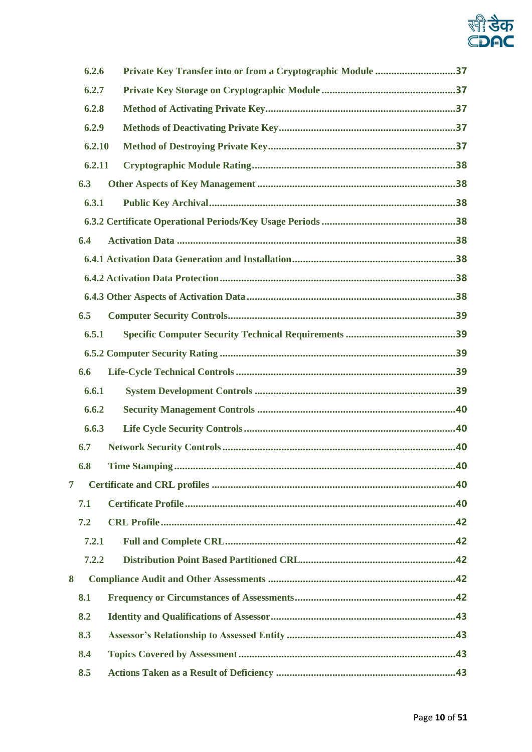

| 6.2.6  | Private Key Transfer into or from a Cryptographic Module 37 |  |
|--------|-------------------------------------------------------------|--|
| 6.2.7  |                                                             |  |
| 6.2.8  |                                                             |  |
| 6.2.9  |                                                             |  |
| 6.2.10 |                                                             |  |
| 6.2.11 |                                                             |  |
| 6.3    |                                                             |  |
| 6.3.1  |                                                             |  |
|        |                                                             |  |
| 6.4    |                                                             |  |
|        |                                                             |  |
|        |                                                             |  |
|        |                                                             |  |
| 6.5    |                                                             |  |
| 6.5.1  |                                                             |  |
|        |                                                             |  |
| 6.6    |                                                             |  |
| 6.6.1  |                                                             |  |
| 6.6.2  |                                                             |  |
| 6.6.3  |                                                             |  |
| 6.7    |                                                             |  |
| 6.8    | 40                                                          |  |
| 7      |                                                             |  |
| 7.1    |                                                             |  |
| 7.2    |                                                             |  |
| 7.2.1  |                                                             |  |
| 7.2.2  |                                                             |  |
| 8      |                                                             |  |
| 8.1    |                                                             |  |
| 8.2    |                                                             |  |
| 8.3    |                                                             |  |
| 8.4    |                                                             |  |
| 8.5    |                                                             |  |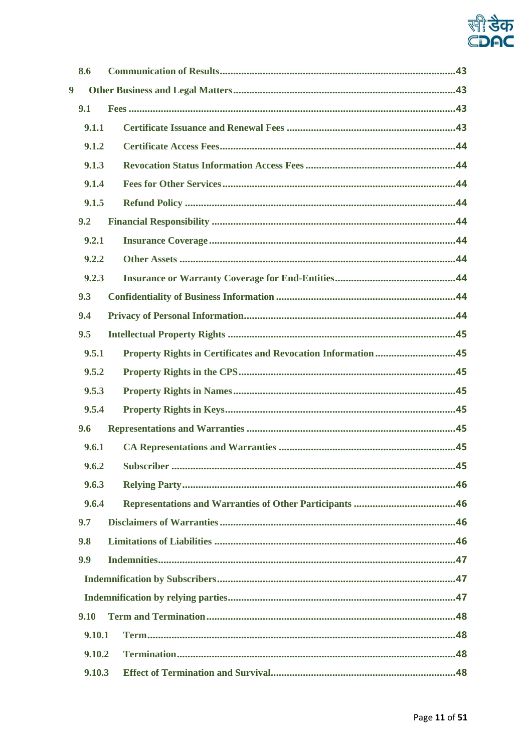

| 8.6              |                                                              |  |
|------------------|--------------------------------------------------------------|--|
| $\boldsymbol{9}$ |                                                              |  |
| 9.1              |                                                              |  |
| 9.1.1            |                                                              |  |
| 9.1.2            |                                                              |  |
| 9.1.3            |                                                              |  |
| 9.1.4            |                                                              |  |
| 9.1.5            |                                                              |  |
| 9.2              |                                                              |  |
| 9.2.1            |                                                              |  |
| 9.2.2            |                                                              |  |
| 9.2.3            |                                                              |  |
| 9.3              |                                                              |  |
| 9.4              |                                                              |  |
| 9.5              |                                                              |  |
| 9.5.1            | Property Rights in Certificates and Revocation Information45 |  |
| 9.5.2            |                                                              |  |
| 9.5.3            |                                                              |  |
| 9.5.4            |                                                              |  |
| 9.6              |                                                              |  |
| 9.6.1            |                                                              |  |
| 9.6.2            |                                                              |  |
| 9.6.3            |                                                              |  |
| 9.6.4            |                                                              |  |
| 9.7              |                                                              |  |
| 9.8              |                                                              |  |
| 9.9              |                                                              |  |
|                  |                                                              |  |
|                  |                                                              |  |
| 9.10             |                                                              |  |
| 9.10.1           |                                                              |  |
| 9.10.2           |                                                              |  |
| 9.10.3           |                                                              |  |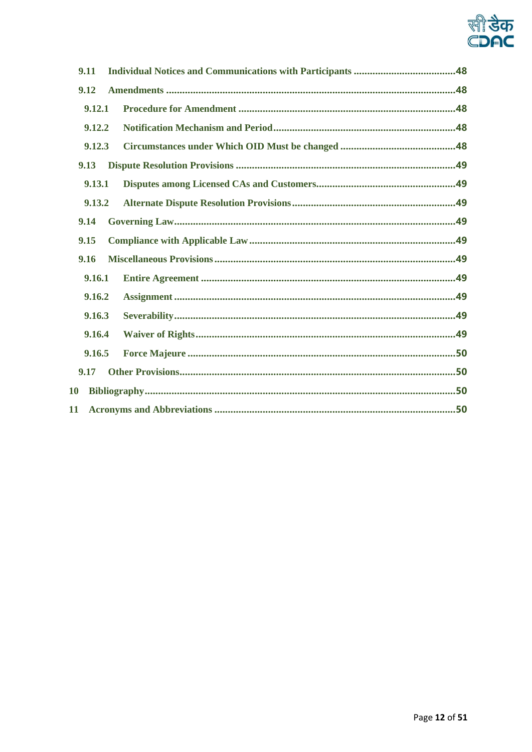

| 9.11      |  |  |
|-----------|--|--|
| 9.12      |  |  |
| 9.12.1    |  |  |
| 9.12.2    |  |  |
| 9.12.3    |  |  |
| 9.13      |  |  |
| 9.13.1    |  |  |
| 9.13.2    |  |  |
| 9.14      |  |  |
| 9.15      |  |  |
| 9.16      |  |  |
| 9.16.1    |  |  |
| 9.16.2    |  |  |
| 9.16.3    |  |  |
| 9.16.4    |  |  |
| 9.16.5    |  |  |
| 9.17      |  |  |
| <b>10</b> |  |  |
| 11        |  |  |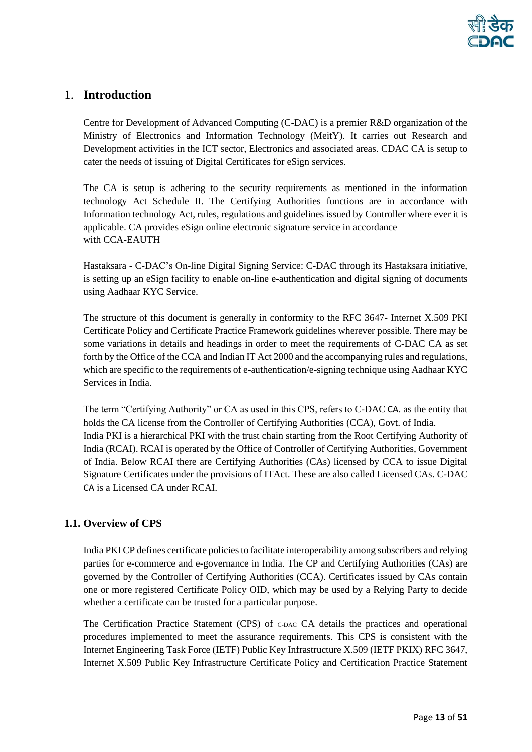# <span id="page-12-0"></span>1. **Introduction**

Centre for Development of Advanced Computing (C-DAC) is a premier R&D organization of the Ministry of Electronics and Information Technology (MeitY). It carries out Research and Development activities in the ICT sector, Electronics and associated areas. CDAC CA is setup to cater the needs of issuing of Digital Certificates for eSign services.

The CA is setup is adhering to the security requirements as mentioned in the information technology Act Schedule II. The Certifying Authorities functions are in accordance with Information technology Act, rules, regulations and guidelines issued by Controller where ever it is applicable. CA provides eSign online electronic signature service in accordance with CCA-EAUTH

Hastaksara - C-DAC's On-line Digital Signing Service: C-DAC through its Hastaksara initiative, is setting up an eSign facility to enable on-line e-authentication and digital signing of documents using Aadhaar KYC Service.

The structure of this document is generally in conformity to the RFC 3647- Internet X.509 PKI Certificate Policy and Certificate Practice Framework guidelines wherever possible. There may be some variations in details and headings in order to meet the requirements of C-DAC CA as set forth by the Office of the CCA and Indian IT Act 2000 and the accompanying rules and regulations, which are specific to the requirements of e-authentication/e-signing technique using Aadhaar KYC Services in India.

The term "Certifying Authority" or CA as used in this CPS, refers to C-DAC CA. as the entity that holds the CA license from the Controller of Certifying Authorities (CCA), Govt. of India. India PKI is a hierarchical PKI with the trust chain starting from the Root Certifying Authority of India (RCAI). RCAI is operated by the Office of Controller of Certifying Authorities, Government of India. Below RCAI there are Certifying Authorities (CAs) licensed by CCA to issue Digital Signature Certificates under the provisions of ITAct. These are also called Licensed CAs. C-DAC CA is a Licensed CA under RCAI.

# <span id="page-12-1"></span>**1.1. Overview of CPS**

India PKI CP defines certificate policies to facilitate interoperability among subscribers and relying parties for e-commerce and e-governance in India. The CP and Certifying Authorities (CAs) are governed by the Controller of Certifying Authorities (CCA). Certificates issued by CAs contain one or more registered Certificate Policy OID, which may be used by a Relying Party to decide whether a certificate can be trusted for a particular purpose.

The Certification Practice Statement (CPS) of C-DAC CA details the practices and operational procedures implemented to meet the assurance requirements. This CPS is consistent with the Internet Engineering Task Force (IETF) Public Key Infrastructure X.509 (IETF PKIX) RFC 3647, Internet X.509 Public Key Infrastructure Certificate Policy and Certification Practice Statement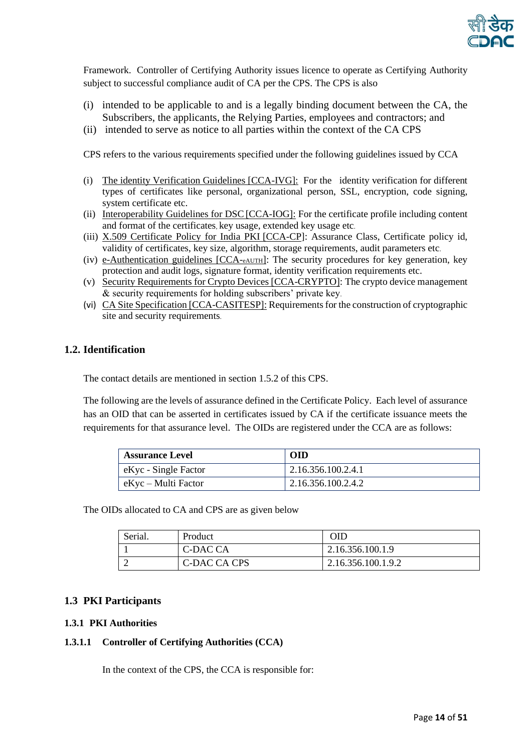

Framework. Controller of Certifying Authority issues licence to operate as Certifying Authority subject to successful compliance audit of CA per the CPS. The CPS is also

- (i) intended to be applicable to and is a legally binding document between the CA, the Subscribers, the applicants, the Relying Parties, employees and contractors; and
- (ii) intended to serve as notice to all parties within the context of the CA CPS

CPS refers to the various requirements specified under the following guidelines issued by CCA

- (i) The identity Verification Guidelines [CCA-IVG]: For the identity verification for different types of certificates like personal, organizational person, SSL, encryption, code signing, system certificate etc.
- (ii) Interoperability Guidelines for DSC [CCA-IOG]: For the certificate profile including content and format of the certificates, key usage, extended key usage etc.
- (iii) X.509 Certificate Policy for India PKI [CCA-CP]: Assurance Class, Certificate policy id, validity of certificates, key size, algorithm, storage requirements, audit parameters etc.
- (iv) e-Authentication guidelines [CCA-eAUTH]: The security procedures for key generation, key protection and audit logs, signature format, identity verification requirements etc.
- (v) Security Requirements for Crypto Devices [CCA-CRYPTO]: The crypto device management & security requirements for holding subscribers' private key.
- (vi) CA Site Specification [CCA-CASITESP]: Requirements for the construction of cryptographic site and security requirements.

# <span id="page-13-0"></span>**1.2. Identification**

The contact details are mentioned in section 1.5.2 of this CPS.

The following are the levels of assurance defined in the Certificate Policy. Each level of assurance has an OID that can be asserted in certificates issued by CA if the certificate issuance meets the requirements for that assurance level. The OIDs are registered under the CCA are as follows:

| <b>Assurance Level</b> | <b>OID</b>         |
|------------------------|--------------------|
| eKyc - Single Factor   | 2.16.356.100.2.4.1 |
| eKyc – Multi Factor    | 2.16.356.100.2.4.2 |

The OIDs allocated to CA and CPS are as given below

| Serial. | Product      | <b>OID</b>         |
|---------|--------------|--------------------|
|         | C-DAC CA     | 2.16.356.100.1.9   |
|         | C-DAC CA CPS | 2.16.356.100.1.9.2 |

# <span id="page-13-1"></span>**1.3 PKI Participants**

#### <span id="page-13-2"></span>**1.3.1 PKI Authorities**

#### **1.3.1.1 Controller of Certifying Authorities (CCA)**

In the context of the CPS, the CCA is responsible for: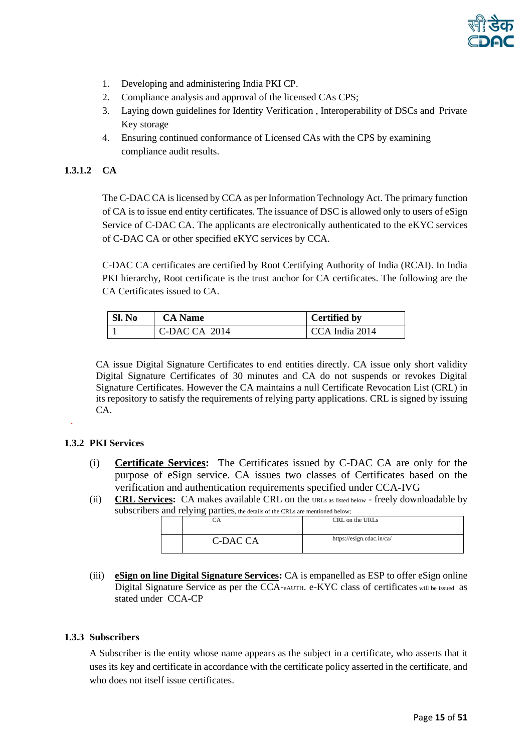

- 1. Developing and administering India PKI CP.
- 2. Compliance analysis and approval of the licensed CAs CPS;
- 3. Laying down guidelines for Identity Verification , Interoperability of DSCs and Private Key storage
- 4. Ensuring continued conformance of Licensed CAs with the CPS by examining compliance audit results.

#### **1.3.1.2 CA**

The C-DAC CA is licensed by CCA as per Information Technology Act. The primary function of CA is to issue end entity certificates. The issuance of DSC is allowed only to users of eSign Service of C-DAC CA. The applicants are electronically authenticated to the eKYC services of C-DAC CA or other specified eKYC services by CCA.

C-DAC CA certificates are certified by Root Certifying Authority of India (RCAI). In India PKI hierarchy, Root certificate is the trust anchor for CA certificates. The following are the CA Certificates issued to CA.

| Sl. No | <b>CA</b> Name | <b>Certified by</b> |
|--------|----------------|---------------------|
|        | C-DAC CA 2014  | CCA India 2014      |

CA issue Digital Signature Certificates to end entities directly. CA issue only short validity Digital Signature Certificates of 30 minutes and CA do not suspends or revokes Digital Signature Certificates. However the CA maintains a null Certificate Revocation List (CRL) in its repository to satisfy the requirements of relying party applications. CRL is signed by issuing CA.

#### <span id="page-14-0"></span>**1.3.2 PKI Services**

.

- (i) **Certificate Services:** The Certificates issued by C-DAC CA are only for the purpose of eSign service. CA issues two classes of Certificates based on the verification and authentication requirements specified under [CCA-IVG](http://www.cca.gov.in/cca/sites/default/files/files/Guidelines/CCA-IVG.pdf)
- (ii) **CRL Services:** CA makes available CRL on the URLs as listed below freely downloadable by subscribers and relying parties, the details of the CRLs are mentioned below;

|          | CRL on the URLs           |
|----------|---------------------------|
| C-DAC CA | https://esign.cdac.in/ca/ |

(iii) **eSign on line Digital Signature Services:** CA is empanelled as ESP to offer eSign online Digital Signature Service as per [the CCA-](http://www.cca.gov.in/cca/sites/default/files/files/ESIGN/CCA-EAUTH.pdf)[eAUTH](http://www.cca.gov.in/cca/sites/default/files/files/ESIGN/CCA-EAUTH.pdf). e-KYC class of certificates will be issued as stated under [CCA-CP](http://www.cca.gov.in/cca/sites/default/files/files/Guidelines/CCA-CP.pdf)

#### <span id="page-14-1"></span>**1.3.3 Subscribers**

A Subscriber is the entity whose name appears as the subject in a certificate, who asserts that it uses its key and certificate in accordance with the certificate policy asserted in the certificate, and who does not itself issue certificates.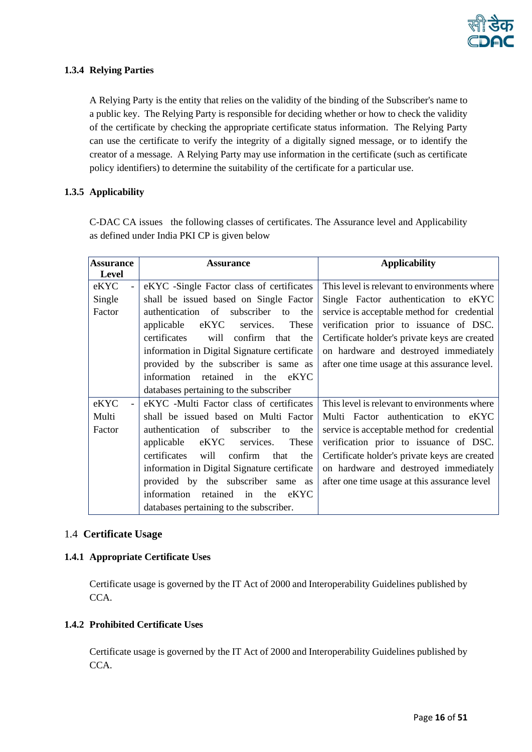

# <span id="page-15-0"></span>**1.3.4 Relying Parties**

A Relying Party is the entity that relies on the validity of the binding of the Subscriber's name to a public key. The Relying Party is responsible for deciding whether or how to check the validity of the certificate by checking the appropriate certificate status information. The Relying Party can use the certificate to verify the integrity of a digitally signed message, or to identify the creator of a message. A Relying Party may use information in the certificate (such as certificate policy identifiers) to determine the suitability of the certificate for a particular use.

# <span id="page-15-1"></span>**1.3.5 Applicability**

C-DAC CA issues the following classes of certificates. The Assurance level and Applicability as defined under India PKI CP is given below

| <b>Assurance</b> | <b>Assurance</b>                               | <b>Applicability</b>                          |
|------------------|------------------------------------------------|-----------------------------------------------|
| Level            |                                                |                                               |
| eKYC             | eKYC -Single Factor class of certificates      | This level is relevant to environments where  |
| Single           | shall be issued based on Single Factor         | Single Factor authentication to eKYC          |
| Factor           | authentication of subscriber<br>the<br>to      | service is acceptable method for credential   |
|                  | eKYC services.<br>These<br>applicable          | verification prior to issuance of DSC.        |
|                  | certificates<br>confirm that the<br>will       | Certificate holder's private keys are created |
|                  | information in Digital Signature certificate   | on hardware and destroyed immediately         |
|                  | provided by the subscriber is same as          | after one time usage at this assurance level. |
|                  | information retained in the eKYC               |                                               |
|                  | databases pertaining to the subscriber         |                                               |
| eKYC             | eKYC -Multi Factor class of certificates       | This level is relevant to environments where  |
| Multi            | shall be issued based on Multi Factor          | Multi Factor authentication to eKYC           |
| Factor           | authentication of subscriber to<br>the         | service is acceptable method for credential   |
|                  | eKYC services.<br>applicable<br>These          | verification prior to issuance of DSC.        |
|                  | will<br>confirm<br>certificates<br>that<br>the | Certificate holder's private keys are created |
|                  | information in Digital Signature certificate   | on hardware and destroyed immediately         |
|                  | provided by the subscriber same as             | after one time usage at this assurance level  |
|                  | information<br>retained<br>in<br>the eKYC      |                                               |
|                  | databases pertaining to the subscriber.        |                                               |

#### <span id="page-15-2"></span>1.4 **Certificate Usage**

#### <span id="page-15-3"></span>**1.4.1 Appropriate Certificate Uses**

Certificate usage is governed by the IT Act of 2000 and Interoperability Guidelines published by CCA.

#### <span id="page-15-4"></span>**1.4.2 Prohibited Certificate Uses**

Certificate usage is governed by the IT Act of 2000 and Interoperability Guidelines published by CCA.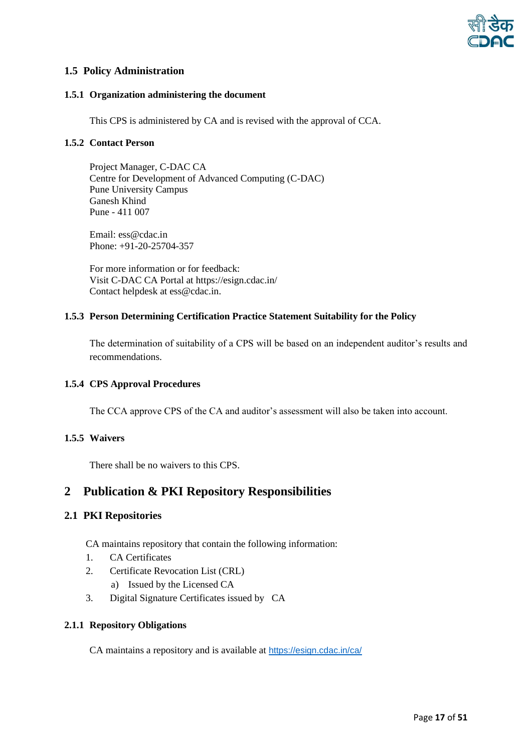

# <span id="page-16-0"></span>**1.5 Policy Administration**

#### <span id="page-16-1"></span>**1.5.1 Organization administering the document**

This CPS is administered by CA and is revised with the approval of CCA.

#### <span id="page-16-2"></span>**1.5.2 Contact Person**

Project Manager, C-DAC CA Centre for Development of Advanced Computing (C-DAC) Pune University Campus Ganesh Khind Pune - 411 007

Email: ess@cdac.in Phone: +91-20-25704-357

For more information or for feedback: Visit C-DAC CA Portal at https://esign.cdac.in/ Contact helpdesk at ess@cdac.in.

#### <span id="page-16-3"></span>**1.5.3 Person Determining Certification Practice Statement Suitability for the Policy**

The determination of suitability of a CPS will be based on an independent auditor's results and recommendations.

# <span id="page-16-4"></span>**1.5.4 CPS Approval Procedures**

The CCA approve CPS of the CA and auditor's assessment will also be taken into account.

# <span id="page-16-5"></span>**1.5.5 Waivers**

There shall be no waivers to this CPS.

# <span id="page-16-6"></span>**2 Publication & PKI Repository Responsibilities**

# <span id="page-16-7"></span>**2.1 PKI Repositories**

CA maintains repository that contain the following information:

- 1. CA Certificates
- 2. Certificate Revocation List (CRL)
	- a) Issued by the Licensed CA
- 3. Digital Signature Certificates issued by CA

#### <span id="page-16-8"></span>**2.1.1 Repository Obligations**

CA maintains a repository and is available at <https://esign.cdac.in/ca/>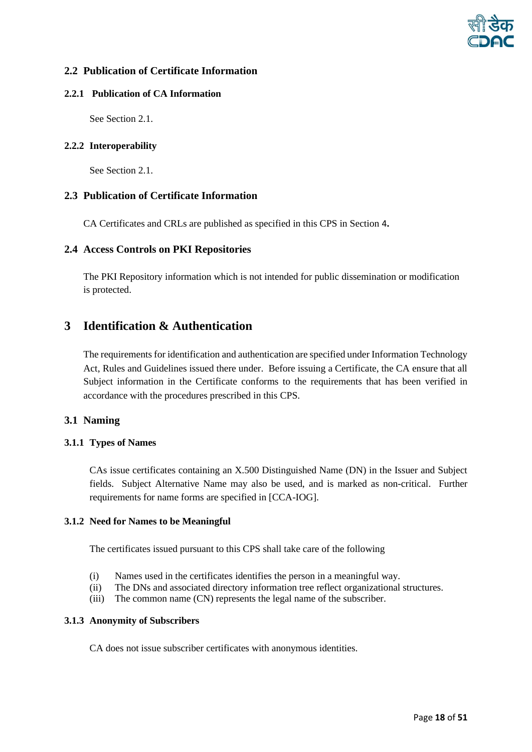

# <span id="page-17-0"></span>**2.2 Publication of Certificate Information**

#### **2.2.1 Publication of CA Information**

<span id="page-17-1"></span>See Sectio[n 2.1.](#page-16-7)

# <span id="page-17-2"></span>**2.2.2 Interoperability**

See Sectio[n 2.1.](#page-16-7)

#### <span id="page-17-3"></span>**2.3 Publication of Certificate Information**

CA Certificates and CRLs are published as specified in this CPS in Section [4](#page-19-5)**.**

#### <span id="page-17-4"></span>**2.4 Access Controls on PKI Repositories**

The PKI Repository information which is not intended for public dissemination or modification is protected.

# <span id="page-17-5"></span>**3 Identification & Authentication**

The requirements for identification and authentication are specified under Information Technology Act, Rules and Guidelines issued there under. Before issuing a Certificate, the CA ensure that all Subject information in the Certificate conforms to the requirements that has been verified in accordance with the procedures prescribed in this CPS.

# <span id="page-17-6"></span>**3.1 Naming**

#### <span id="page-17-7"></span>**3.1.1 Types of Names**

CAs issue certificates containing an X.500 Distinguished Name (DN) in the Issuer and Subject fields. Subject Alternative Name may also be used, and is marked as non-critical. Further requirements for name forms are specified in [CCA-IOG].

#### <span id="page-17-8"></span>**3.1.2 Need for Names to be Meaningful**

The certificates issued pursuant to this CPS shall take care of the following

- (i) Names used in the certificates identifies the person in a meaningful way.
- (ii) The DNs and associated directory information tree reflect organizational structures.
- (iii) The common name (CN) represents the legal name of the subscriber.

#### <span id="page-17-9"></span>**3.1.3 Anonymity of Subscribers**

CA does not issue subscriber certificates with anonymous identities.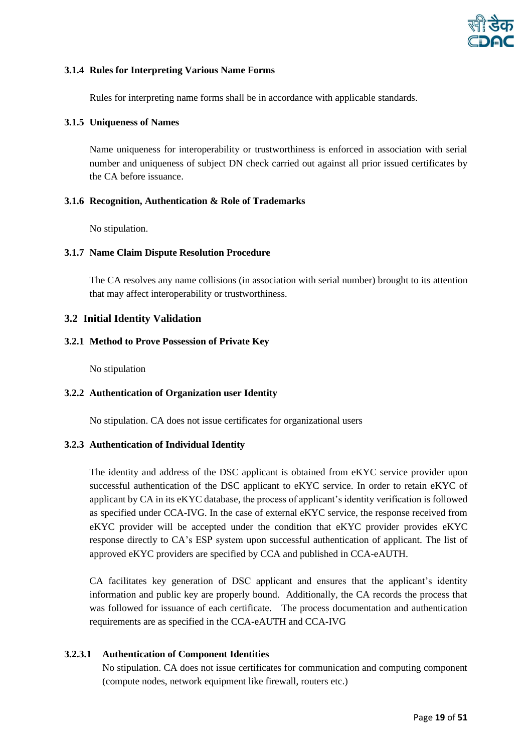

#### <span id="page-18-0"></span>**3.1.4 Rules for Interpreting Various Name Forms**

Rules for interpreting name forms shall be in accordance with applicable standards.

#### <span id="page-18-1"></span>**3.1.5 Uniqueness of Names**

Name uniqueness for interoperability or trustworthiness is enforced in association with serial number and uniqueness of subject DN check carried out against all prior issued certificates by the CA before issuance.

#### <span id="page-18-2"></span>**3.1.6 Recognition, Authentication & Role of Trademarks**

No stipulation.

#### <span id="page-18-3"></span>**3.1.7 Name Claim Dispute Resolution Procedure**

The CA resolves any name collisions (in association with serial number) brought to its attention that may affect interoperability or trustworthiness.

#### <span id="page-18-4"></span>**3.2 Initial Identity Validation**

#### <span id="page-18-5"></span>**3.2.1 Method to Prove Possession of Private Key**

No stipulation

#### <span id="page-18-6"></span>**3.2.2 Authentication of Organization user Identity**

No stipulation. CA does not issue certificates for organizational users

#### <span id="page-18-7"></span>**3.2.3 Authentication of Individual Identity**

The identity and address of the DSC applicant is obtained from eKYC service provider upon successful authentication of the DSC applicant to eKYC service. In order to retain eKYC of applicant by CA in its eKYC database, the process of applicant's identity verification is followed as specified under CCA-IVG. In the case of external eKYC service, the response received from eKYC provider will be accepted under the condition that eKYC provider provides eKYC response directly to CA's ESP system upon successful authentication of applicant. The list of approved eKYC providers are specified by CCA and published in CCA-eAUTH.

CA facilitates key generation of DSC applicant and ensures that the applicant's identity information and public key are properly bound. Additionally, the CA records the process that was followed for issuance of each certificate. The process documentation and authentication requirements are as specified in the CCA-eAUTH and CCA-IVG

#### **3.2.3.1 Authentication of Component Identities**

 No stipulation. CA does not issue certificates for communication and computing component (compute nodes, network equipment like firewall, routers etc.)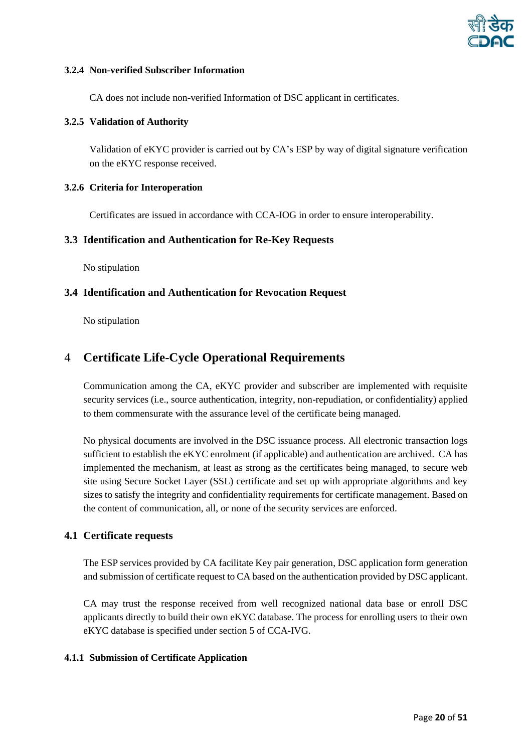

#### <span id="page-19-0"></span>**3.2.4 Non-verified Subscriber Information**

CA does not include non-verified Information of DSC applicant in certificates.

#### <span id="page-19-1"></span>**3.2.5 Validation of Authority**

Validation of eKYC provider is carried out by CA's ESP by way of digital signature verification on the eKYC response received.

#### <span id="page-19-2"></span>**3.2.6 Criteria for Interoperation**

Certificates are issued in accordance with CCA-IOG in order to ensure interoperability.

#### <span id="page-19-3"></span>**3.3 Identification and Authentication for Re-Key Requests**

No stipulation

#### <span id="page-19-4"></span>**3.4 Identification and Authentication for Revocation Request**

No stipulation

# <span id="page-19-5"></span>4 **Certificate Life-Cycle Operational Requirements**

Communication among the CA, eKYC provider and subscriber are implemented with requisite security services (i.e., source authentication, integrity, non-repudiation, or confidentiality) applied to them commensurate with the assurance level of the certificate being managed.

No physical documents are involved in the DSC issuance process. All electronic transaction logs sufficient to establish the eKYC enrolment (if applicable) and authentication are archived. CA has implemented the mechanism, at least as strong as the certificates being managed, to secure web site using Secure Socket Layer (SSL) certificate and set up with appropriate algorithms and key sizes to satisfy the integrity and confidentiality requirements for certificate management. Based on the content of communication, all, or none of the security services are enforced.

#### <span id="page-19-6"></span>**4.1 Certificate requests**

The ESP services provided by CA facilitate Key pair generation, DSC application form generation and submission of certificate request to CA based on the authentication provided by DSC applicant.

CA may trust the response received from well recognized national data base or enroll DSC applicants directly to build their own eKYC database. The process for enrolling users to their own eKYC database is specified under section 5 of CCA-IVG.

#### <span id="page-19-7"></span>**4.1.1 Submission of Certificate Application**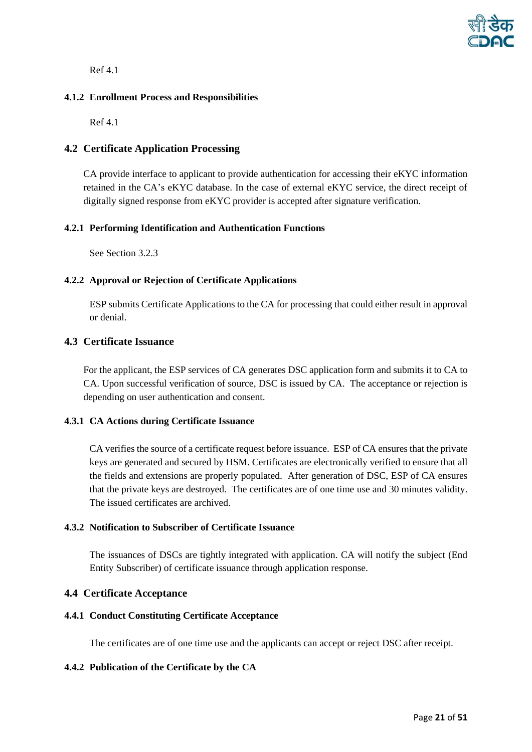

Ref 4.1

# <span id="page-20-0"></span>**4.1.2 Enrollment Process and Responsibilities**

Ref 4.1

#### <span id="page-20-1"></span>**4.2 Certificate Application Processing**

CA provide interface to applicant to provide authentication for accessing their eKYC information retained in the CA's eKYC database. In the case of external eKYC service, the direct receipt of digitally signed response from eKYC provider is accepted after signature verification.

#### <span id="page-20-2"></span>**4.2.1 Performing Identification and Authentication Functions**

See Sectio[n 3.2.3](#page-18-7)

#### <span id="page-20-3"></span>**4.2.2 Approval or Rejection of Certificate Applications**

ESP submits Certificate Applications to the CA for processing that could either result in approval or denial.

# <span id="page-20-4"></span>**4.3 Certificate Issuance**

For the applicant, the ESP services of CA generates DSC application form and submits it to CA to CA. Upon successful verification of source, DSC is issued by CA. The acceptance or rejection is depending on user authentication and consent.

#### <span id="page-20-5"></span>**4.3.1 CA Actions during Certificate Issuance**

CA verifies the source of a certificate request before issuance. ESP of CA ensures that the private keys are generated and secured by HSM. Certificates are electronically verified to ensure that all the fields and extensions are properly populated. After generation of DSC, ESP of CA ensures that the private keys are destroyed. The certificates are of one time use and 30 minutes validity. The issued certificates are archived.

### <span id="page-20-6"></span>**4.3.2 Notification to Subscriber of Certificate Issuance**

The issuances of DSCs are tightly integrated with application. CA will notify the subject (End Entity Subscriber) of certificate issuance through application response.

#### <span id="page-20-7"></span>**4.4 Certificate Acceptance**

#### <span id="page-20-8"></span>**4.4.1 Conduct Constituting Certificate Acceptance**

The certificates are of one time use and the applicants can accept or reject DSC after receipt.

#### <span id="page-20-9"></span>**4.4.2 Publication of the Certificate by the CA**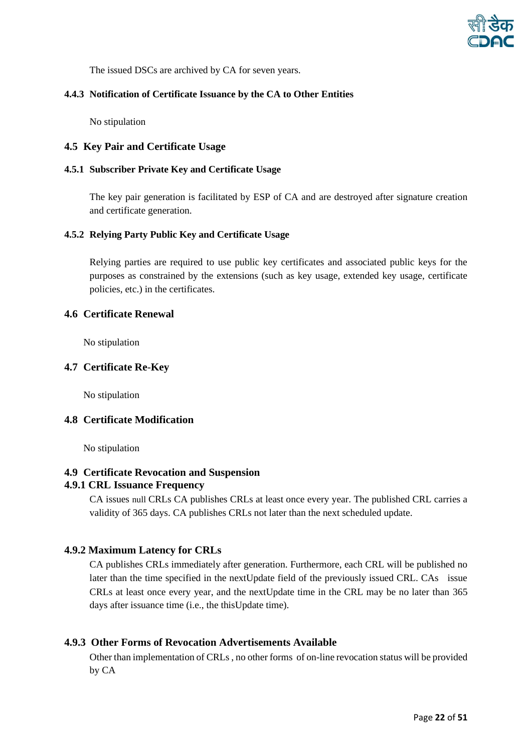

The issued DSCs are archived by CA for seven years.

#### <span id="page-21-0"></span>**4.4.3 Notification of Certificate Issuance by the CA to Other Entities**

No stipulation

# <span id="page-21-1"></span>**4.5 Key Pair and Certificate Usage**

#### <span id="page-21-2"></span>**4.5.1 Subscriber Private Key and Certificate Usage**

The key pair generation is facilitated by ESP of CA and are destroyed after signature creation and certificate generation.

#### <span id="page-21-3"></span>**4.5.2 Relying Party Public Key and Certificate Usage**

Relying parties are required to use public key certificates and associated public keys for the purposes as constrained by the extensions (such as key usage, extended key usage, certificate policies, etc.) in the certificates.

#### <span id="page-21-4"></span>**4.6 Certificate Renewal**

No stipulation

#### <span id="page-21-5"></span>**4.7 Certificate Re**-**Key**

No stipulation

#### <span id="page-21-6"></span>**4.8 Certificate Modification**

No stipulation

#### <span id="page-21-7"></span>**4.9 Certificate Revocation and Suspension**

#### <span id="page-21-8"></span>**4.9.1 CRL Issuance Frequency**

CA issues null CRLs CA publishes CRLs at least once every year. The published CRL carries a validity of 365 days. CA publishes CRLs not later than the next scheduled update.

#### <span id="page-21-9"></span>**4.9.2 Maximum Latency for CRLs**

CA publishes CRLs immediately after generation. Furthermore, each CRL will be published no later than the time specified in the nextUpdate field of the previously issued CRL. CAs issue CRLs at least once every year, and the nextUpdate time in the CRL may be no later than 365 days after issuance time (i.e., the thisUpdate time).

# **4.9.3 Other Forms of Revocation Advertisements Available**

<span id="page-21-10"></span>Other than implementation of CRLs , no other forms of on-line revocation status will be provided by CA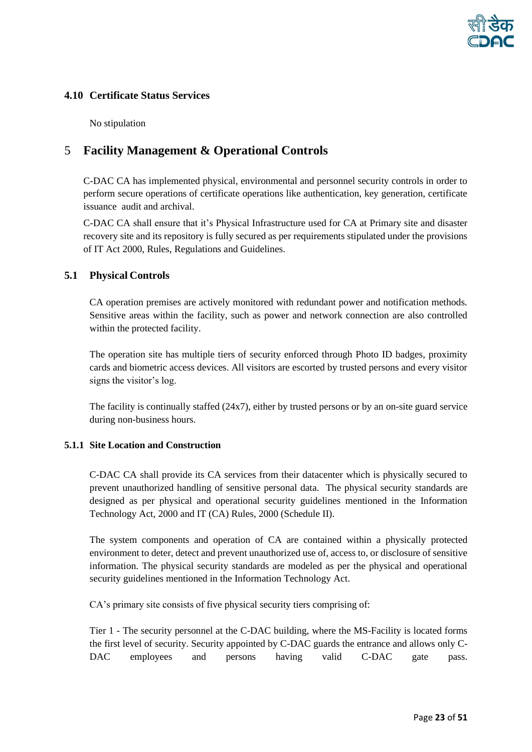

# <span id="page-22-0"></span>**4.10 Certificate Status Services**

No stipulation

# <span id="page-22-1"></span>5 **Facility Management & Operational Controls**

C-DAC CA has implemented physical, environmental and personnel security controls in order to perform secure operations of certificate operations like authentication, key generation, certificate issuance audit and archival.

C-DAC CA shall ensure that it's Physical Infrastructure used for CA at Primary site and disaster recovery site and its repository is fully secured as per requirements stipulated under the provisions of IT Act 2000, Rules, Regulations and Guidelines.

# <span id="page-22-2"></span>**5.1 Physical Controls**

CA operation premises are actively monitored with redundant power and notification methods. Sensitive areas within the facility, such as power and network connection are also controlled within the protected facility.

The operation site has multiple tiers of security enforced through Photo ID badges, proximity cards and biometric access devices. All visitors are escorted by trusted persons and every visitor signs the visitor's log.

The facility is continually staffed (24x7), either by trusted persons or by an on-site guard service during non-business hours.

# <span id="page-22-3"></span>**5.1.1 Site Location and Construction**

C-DAC CA shall provide its CA services from their datacenter which is physically secured to prevent unauthorized handling of sensitive personal data. The physical security standards are designed as per physical and operational security guidelines mentioned in the Information Technology Act, 2000 and IT (CA) Rules, 2000 (Schedule II).

The system components and operation of CA are contained within a physically protected environment to deter, detect and prevent unauthorized use of, access to, or disclosure of sensitive information. The physical security standards are modeled as per the physical and operational security guidelines mentioned in the Information Technology Act.

CA's primary site consists of five physical security tiers comprising of:

Tier 1 - The security personnel at the C-DAC building, where the MS-Facility is located forms the first level of security. Security appointed by C-DAC guards the entrance and allows only C-DAC employees and persons having valid C-DAC gate pass.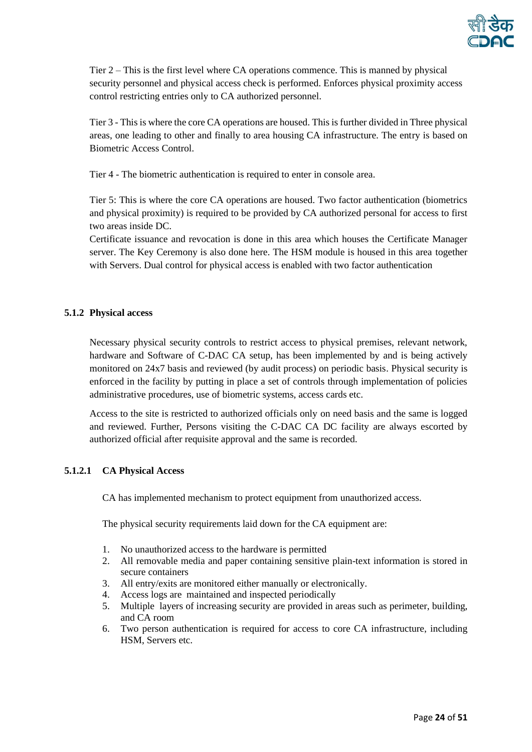

Tier 2 – This is the first level where CA operations commence. This is manned by physical security personnel and physical access check is performed. Enforces physical proximity access control restricting entries only to CA authorized personnel.

Tier 3 - This is where the core CA operations are housed. This is further divided in Three physical areas, one leading to other and finally to area housing CA infrastructure. The entry is based on Biometric Access Control.

Tier 4 - The biometric authentication is required to enter in console area.

Tier 5: This is where the core CA operations are housed. Two factor authentication (biometrics and physical proximity) is required to be provided by CA authorized personal for access to first two areas inside DC.

Certificate issuance and revocation is done in this area which houses the Certificate Manager server. The Key Ceremony is also done here. The HSM module is housed in this area together with Servers. Dual control for physical access is enabled with two factor authentication

#### <span id="page-23-0"></span>**5.1.2 Physical access**

Necessary physical security controls to restrict access to physical premises, relevant network, hardware and Software of C-DAC CA setup, has been implemented by and is being actively monitored on 24x7 basis and reviewed (by audit process) on periodic basis. Physical security is enforced in the facility by putting in place a set of controls through implementation of policies administrative procedures, use of biometric systems, access cards etc.

Access to the site is restricted to authorized officials only on need basis and the same is logged and reviewed. Further, Persons visiting the C-DAC CA DC facility are always escorted by authorized official after requisite approval and the same is recorded.

# **5.1.2.1 CA Physical Access**

CA has implemented mechanism to protect equipment from unauthorized access.

The physical security requirements laid down for the CA equipment are:

- 1. No unauthorized access to the hardware is permitted
- 2. All removable media and paper containing sensitive plain-text information is stored in secure containers
- 3. All entry/exits are monitored either manually or electronically.
- 4. Access logs are maintained and inspected periodically
- 5. Multiple layers of increasing security are provided in areas such as perimeter, building, and CA room
- 6. Two person authentication is required for access to core CA infrastructure, including HSM, Servers etc.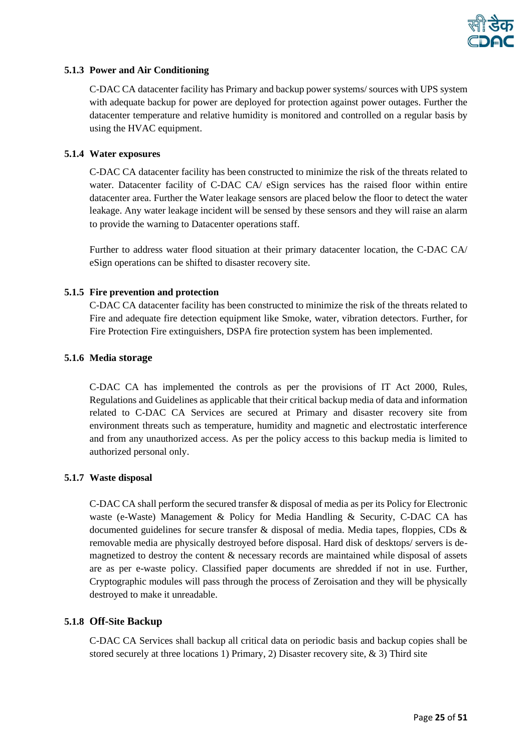

#### <span id="page-24-0"></span>**5.1.3 Power and Air Conditioning**

C-DAC CA datacenter facility has Primary and backup power systems/ sources with UPS system with adequate backup for power are deployed for protection against power outages. Further the datacenter temperature and relative humidity is monitored and controlled on a regular basis by using the HVAC equipment.

#### <span id="page-24-1"></span>**5.1.4 Water exposures**

C-DAC CA datacenter facility has been constructed to minimize the risk of the threats related to water. Datacenter facility of C-DAC CA/ eSign services has the raised floor within entire datacenter area. Further the Water leakage sensors are placed below the floor to detect the water leakage. Any water leakage incident will be sensed by these sensors and they will raise an alarm to provide the warning to Datacenter operations staff.

Further to address water flood situation at their primary datacenter location, the C-DAC CA/ eSign operations can be shifted to disaster recovery site.

#### <span id="page-24-2"></span>**5.1.5 Fire prevention and protection**

C-DAC CA datacenter facility has been constructed to minimize the risk of the threats related to Fire and adequate fire detection equipment like Smoke, water, vibration detectors. Further, for Fire Protection Fire extinguishers, DSPA fire protection system has been implemented.

#### <span id="page-24-3"></span>**5.1.6 Media storage**

C-DAC CA has implemented the controls as per the provisions of IT Act 2000, Rules, Regulations and Guidelines as applicable that their critical backup media of data and information related to C-DAC CA Services are secured at Primary and disaster recovery site from environment threats such as temperature, humidity and magnetic and electrostatic interference and from any unauthorized access. As per the policy access to this backup media is limited to authorized personal only.

#### <span id="page-24-4"></span>**5.1.7 Waste disposal**

C-DAC CA shall perform the secured transfer & disposal of media as per its Policy for Electronic waste (e-Waste) Management & Policy for Media Handling & Security, C-DAC CA has documented guidelines for secure transfer & disposal of media. Media tapes, floppies, CDs & removable media are physically destroyed before disposal. Hard disk of desktops/ servers is demagnetized to destroy the content & necessary records are maintained while disposal of assets are as per e-waste policy. Classified paper documents are shredded if not in use. Further, Cryptographic modules will pass through the process of Zeroisation and they will be physically destroyed to make it unreadable.

#### <span id="page-24-5"></span>**5.1.8 Off-Site Backup**

C-DAC CA Services shall backup all critical data on periodic basis and backup copies shall be stored securely at three locations 1) Primary, 2) Disaster recovery site,  $\&$  3) Third site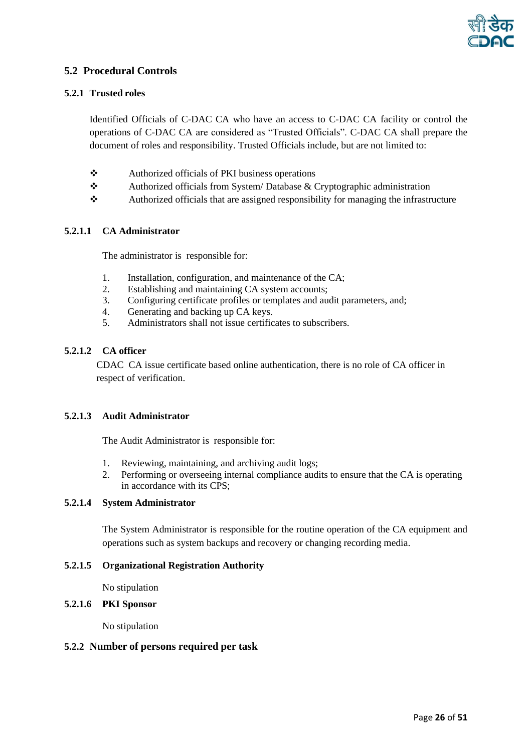

# <span id="page-25-0"></span>**5.2 Procedural Controls**

#### <span id="page-25-1"></span>**5.2.1 Trusted roles**

Identified Officials of C-DAC CA who have an access to C-DAC CA facility or control the operations of C-DAC CA are considered as "Trusted Officials". C-DAC CA shall prepare the document of roles and responsibility. Trusted Officials include, but are not limited to:

- ❖ Authorized officials of PKI business operations
- ❖ Authorized officials from System/ Database & Cryptographic administration
- ❖ Authorized officials that are assigned responsibility for managing the infrastructure

#### **5.2.1.1 CA Administrator**

The administrator is responsible for:

- 1. Installation, configuration, and maintenance of the CA;
- 2. Establishing and maintaining CA system accounts;<br>
Configuring certificate profiles or templates and an
- Configuring certificate profiles or templates and audit parameters, and;
- 4. Generating and backing up CA keys.
- 5. Administrators shall not issue certificates to subscribers.

#### **5.2.1.2 CA officer**

CDAC CA issue certificate based online authentication, there is no role of CA officer in respect of verification.

# **5.2.1.3 Audit Administrator**

The Audit Administrator is responsible for:

- 1. Reviewing, maintaining, and archiving audit logs;
- 2. Performing or overseeing internal compliance audits to ensure that the CA is operating in accordance with its CPS;

#### **5.2.1.4 System Administrator**

The System Administrator is responsible for the routine operation of the CA equipment and operations such as system backups and recovery or changing recording media.

#### **5.2.1.5 Organizational Registration Authority**

No stipulation

#### **5.2.1.6 PKI Sponsor**

No stipulation

#### <span id="page-25-2"></span>**5.2.2 Number of persons required per task**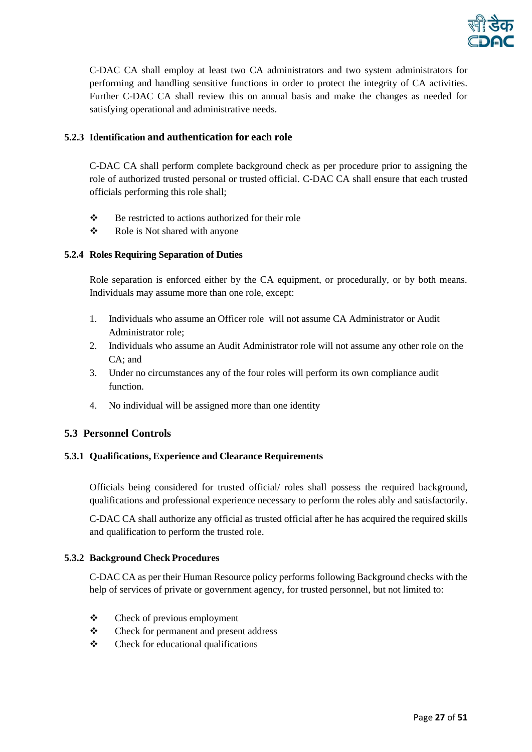

C-DAC CA shall employ at least two CA administrators and two system administrators for performing and handling sensitive functions in order to protect the integrity of CA activities. Further C-DAC CA shall review this on annual basis and make the changes as needed for satisfying operational and administrative needs.

# <span id="page-26-0"></span>**5.2.3 Identification and authentication for each role**

C-DAC CA shall perform complete background check as per procedure prior to assigning the role of authorized trusted personal or trusted official. C-DAC CA shall ensure that each trusted officials performing this role shall;

- ❖ Be restricted to actions authorized for their role
- ❖ Role is Not shared with anyone

#### <span id="page-26-1"></span>**5.2.4 Roles Requiring Separation of Duties**

Role separation is enforced either by the CA equipment, or procedurally, or by both means. Individuals may assume more than one role, except:

- 1. Individuals who assume an Officer role will not assume CA Administrator or Audit Administrator role;
- 2. Individuals who assume an Audit Administrator role will not assume any other role on the CA; and
- 3. Under no circumstances any of the four roles will perform its own compliance audit function.
- 4. No individual will be assigned more than one identity

# <span id="page-26-2"></span>**5.3 Personnel Controls**

#### <span id="page-26-3"></span>**5.3.1 Qualifications, Experience and Clearance Requirements**

Officials being considered for trusted official/ roles shall possess the required background, qualifications and professional experience necessary to perform the roles ably and satisfactorily.

C-DAC CA shall authorize any official as trusted official after he has acquired the required skills and qualification to perform the trusted role.

# <span id="page-26-4"></span>**5.3.2 Background Check Procedures**

C-DAC CA as per their Human Resource policy performs following Background checks with the help of services of private or government agency, for trusted personnel, but not limited to:

- ❖ Check of previous employment
- ❖ Check for permanent and present address
- ❖ Check for educational qualifications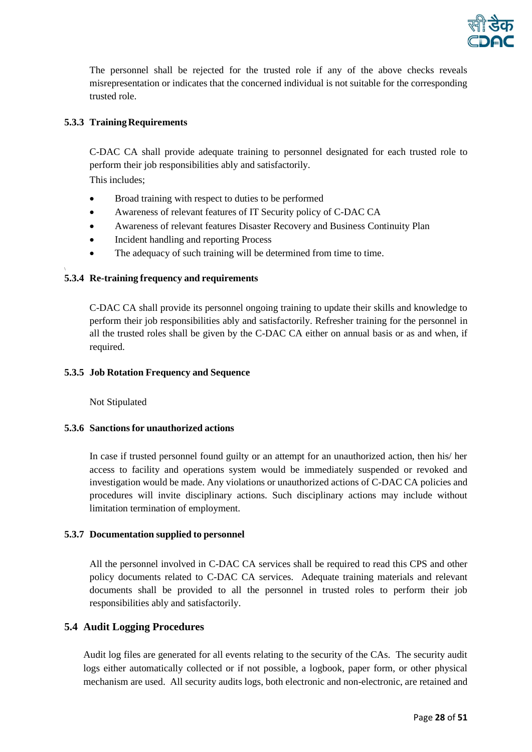

The personnel shall be rejected for the trusted role if any of the above checks reveals misrepresentation or indicates that the concerned individual is not suitable for the corresponding trusted role.

# <span id="page-27-0"></span>**5.3.3 TrainingRequirements**

C-DAC CA shall provide adequate training to personnel designated for each trusted role to perform their job responsibilities ably and satisfactorily.

This includes;

- Broad training with respect to duties to be performed
- Awareness of relevant features of IT Security policy of C-DAC CA
- Awareness of relevant features Disaster Recovery and Business Continuity Plan
- Incident handling and reporting Process
- The adequacy of such training will be determined from time to time.

# <span id="page-27-1"></span>**5.3.4 Re-training frequency and requirements**

C-DAC CA shall provide its personnel ongoing training to update their skills and knowledge to perform their job responsibilities ably and satisfactorily. Refresher training for the personnel in all the trusted roles shall be given by the C-DAC CA either on annual basis or as and when, if required.

#### <span id="page-27-2"></span>**5.3.5 Job Rotation Frequency and Sequence**

Not Stipulated

#### <span id="page-27-3"></span>**5.3.6 Sanctions for unauthorized actions**

In case if trusted personnel found guilty or an attempt for an unauthorized action, then his/ her access to facility and operations system would be immediately suspended or revoked and investigation would be made. Any violations or unauthorized actions of C-DAC CA policies and procedures will invite disciplinary actions. Such disciplinary actions may include without limitation termination of employment.

# <span id="page-27-4"></span>**5.3.7 Documentation supplied to personnel**

All the personnel involved in C-DAC CA services shall be required to read this CPS and other policy documents related to C-DAC CA services. Adequate training materials and relevant documents shall be provided to all the personnel in trusted roles to perform their job responsibilities ably and satisfactorily.

# <span id="page-27-5"></span>**5.4 Audit Logging Procedures**

Audit log files are generated for all events relating to the security of the CAs. The security audit logs either automatically collected or if not possible, a logbook, paper form, or other physical mechanism are used. All security audits logs, both electronic and non-electronic, are retained and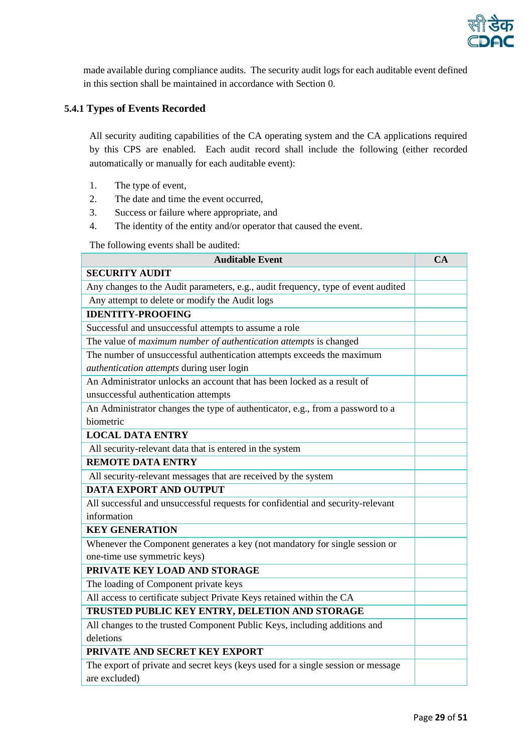

made available during compliance audits. The security audit logs for each auditable event defined in this section shall be maintained in accordance with Section [0.](#page-31-5)

# <span id="page-28-0"></span>**5.4.1 Types of Events Recorded**

All security auditing capabilities of the CA operating system and the CA applications required by this CPS are enabled. Each audit record shall include the following (either recorded automatically or manually for each auditable event):

- 1. The type of event,
- 2. The date and time the event occurred,
- 3. Success or failure where appropriate, and
- 4. The identity of the entity and/or operator that caused the event.

The following events shall be audited:

| <b>Auditable Event</b>                                                            | <b>CA</b> |
|-----------------------------------------------------------------------------------|-----------|
| <b>SECURITY AUDIT</b>                                                             |           |
| Any changes to the Audit parameters, e.g., audit frequency, type of event audited |           |
| Any attempt to delete or modify the Audit logs                                    |           |
| <b>IDENTITY-PROOFING</b>                                                          |           |
| Successful and unsuccessful attempts to assume a role                             |           |
| The value of maximum number of authentication attempts is changed                 |           |
| The number of unsuccessful authentication attempts exceeds the maximum            |           |
| authentication attempts during user login                                         |           |
| An Administrator unlocks an account that has been locked as a result of           |           |
| unsuccessful authentication attempts                                              |           |
| An Administrator changes the type of authenticator, e.g., from a password to a    |           |
| biometric                                                                         |           |
| <b>LOCAL DATA ENTRY</b>                                                           |           |
| All security-relevant data that is entered in the system                          |           |
| <b>REMOTE DATA ENTRY</b>                                                          |           |
| All security-relevant messages that are received by the system                    |           |
| <b>DATA EXPORT AND OUTPUT</b>                                                     |           |
| All successful and unsuccessful requests for confidential and security-relevant   |           |
| information                                                                       |           |
| <b>KEY GENERATION</b>                                                             |           |
| Whenever the Component generates a key (not mandatory for single session or       |           |
| one-time use symmetric keys)                                                      |           |
| PRIVATE KEY LOAD AND STORAGE                                                      |           |
| The loading of Component private keys                                             |           |
| All access to certificate subject Private Keys retained within the CA             |           |
| TRUSTED PUBLIC KEY ENTRY, DELETION AND STORAGE                                    |           |
| All changes to the trusted Component Public Keys, including additions and         |           |
| deletions                                                                         |           |
| PRIVATE AND SECRET KEY EXPORT                                                     |           |
| The export of private and secret keys (keys used for a single session or message  |           |
| are excluded)                                                                     |           |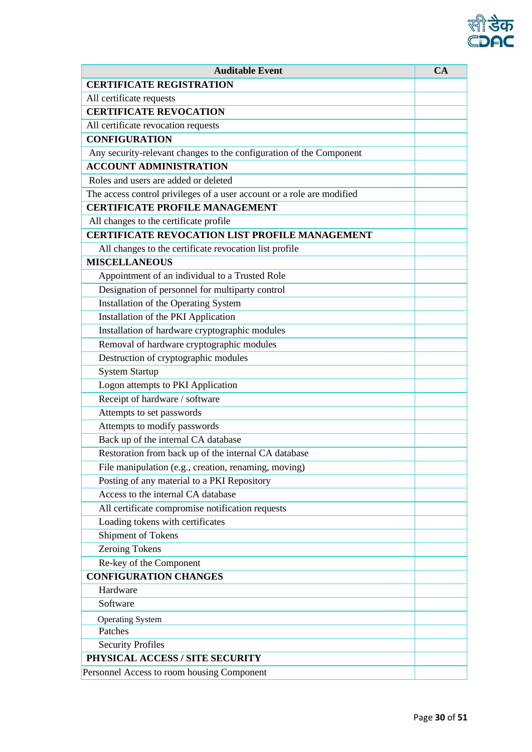

| <b>Auditable Event</b>                                                 | CA |
|------------------------------------------------------------------------|----|
| <b>CERTIFICATE REGISTRATION</b>                                        |    |
| All certificate requests                                               |    |
| <b>CERTIFICATE REVOCATION</b>                                          |    |
| All certificate revocation requests                                    |    |
| <b>CONFIGURATION</b>                                                   |    |
| Any security-relevant changes to the configuration of the Component    |    |
| <b>ACCOUNT ADMINISTRATION</b>                                          |    |
| Roles and users are added or deleted                                   |    |
| The access control privileges of a user account or a role are modified |    |
| <b>CERTIFICATE PROFILE MANAGEMENT</b>                                  |    |
| All changes to the certificate profile                                 |    |
| <b>CERTIFICATE REVOCATION LIST PROFILE MANAGEMENT</b>                  |    |
| All changes to the certificate revocation list profile                 |    |
| <b>MISCELLANEOUS</b>                                                   |    |
| Appointment of an individual to a Trusted Role                         |    |
| Designation of personnel for multiparty control                        |    |
| Installation of the Operating System                                   |    |
| Installation of the PKI Application                                    |    |
| Installation of hardware cryptographic modules                         |    |
| Removal of hardware cryptographic modules                              |    |
| Destruction of cryptographic modules                                   |    |
| <b>System Startup</b>                                                  |    |
| Logon attempts to PKI Application                                      |    |
| Receipt of hardware / software                                         |    |
| Attempts to set passwords                                              |    |
| Attempts to modify passwords                                           |    |
| Back up of the internal CA database                                    |    |
| Restoration from back up of the internal CA database                   |    |
| File manipulation (e.g., creation, renaming, moving)                   |    |
| Posting of any material to a PKI Repository                            |    |
| Access to the internal CA database                                     |    |
| All certificate compromise notification requests                       |    |
| Loading tokens with certificates                                       |    |
| Shipment of Tokens                                                     |    |
| <b>Zeroing Tokens</b>                                                  |    |
| Re-key of the Component                                                |    |
| <b>CONFIGURATION CHANGES</b>                                           |    |
| Hardware                                                               |    |
| Software                                                               |    |
| <b>Operating System</b>                                                |    |
| Patches                                                                |    |
| <b>Security Profiles</b>                                               |    |
| PHYSICAL ACCESS / SITE SECURITY                                        |    |
| Personnel Access to room housing Component                             |    |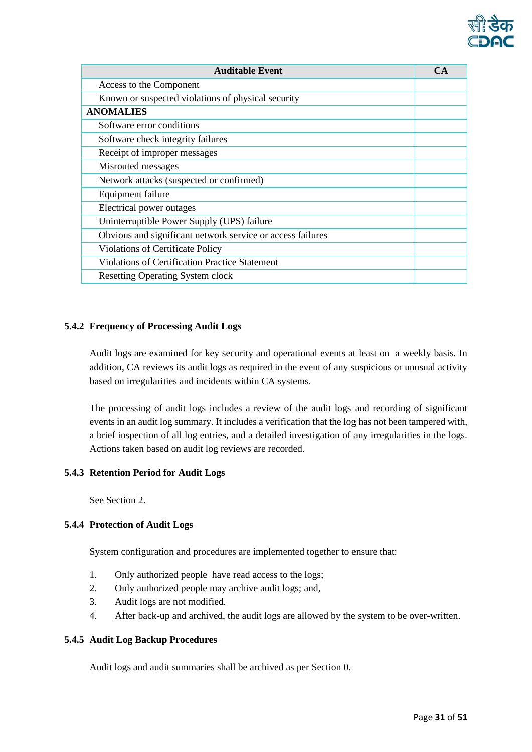

| <b>Auditable Event</b>                                     | CA |
|------------------------------------------------------------|----|
| Access to the Component                                    |    |
| Known or suspected violations of physical security         |    |
| <b>ANOMALIES</b>                                           |    |
| Software error conditions                                  |    |
| Software check integrity failures                          |    |
| Receipt of improper messages                               |    |
| Misrouted messages                                         |    |
| Network attacks (suspected or confirmed)                   |    |
| Equipment failure                                          |    |
| Electrical power outages                                   |    |
| Uninterruptible Power Supply (UPS) failure                 |    |
| Obvious and significant network service or access failures |    |
| Violations of Certificate Policy                           |    |
| <b>Violations of Certification Practice Statement</b>      |    |
| <b>Resetting Operating System clock</b>                    |    |

# <span id="page-30-0"></span>**5.4.2 Frequency of Processing Audit Logs**

Audit logs are examined for key security and operational events at least on a weekly basis. In addition, CA reviews its audit logs as required in the event of any suspicious or unusual activity based on irregularities and incidents within CA systems.

The processing of audit logs includes a review of the audit logs and recording of significant events in an audit log summary. It includes a verification that the log has not been tampered with, a brief inspection of all log entries, and a detailed investigation of any irregularities in the logs. Actions taken based on audit log reviews are recorded.

#### <span id="page-30-1"></span>**5.4.3 Retention Period for Audit Logs**

See Section 2.

# <span id="page-30-2"></span>**5.4.4 Protection of Audit Logs**

System configuration and procedures are implemented together to ensure that:

- 1. Only authorized people have read access to the logs;
- 2. Only authorized people may archive audit logs; and,
- 3. Audit logs are not modified.
- 4. After back-up and archived, the audit logs are allowed by the system to be over-written.

#### <span id="page-30-3"></span>**5.4.5 Audit Log Backup Procedures**

Audit logs and audit summaries shall be archived as per Section [0.](#page-31-4)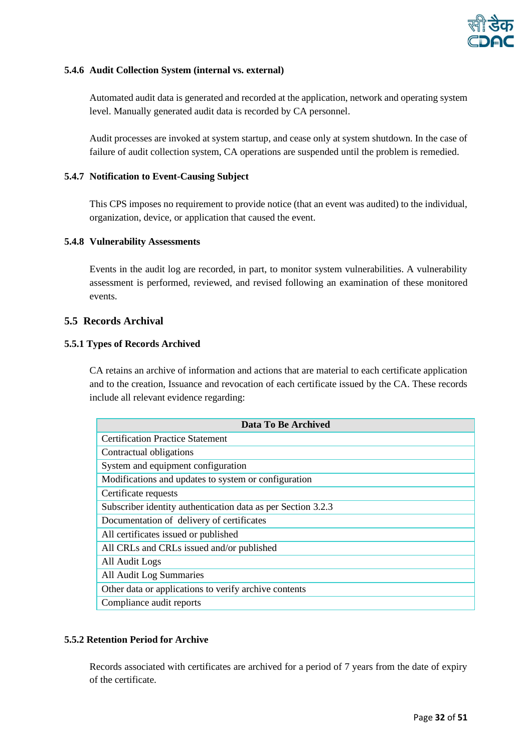

#### <span id="page-31-0"></span>**5.4.6 Audit Collection System (internal vs. external)**

Automated audit data is generated and recorded at the application, network and operating system level. Manually generated audit data is recorded by CA personnel.

Audit processes are invoked at system startup, and cease only at system shutdown. In the case of failure of audit collection system, CA operations are suspended until the problem is remedied.

#### <span id="page-31-1"></span>**5.4.7 Notification to Event-Causing Subject**

This CPS imposes no requirement to provide notice (that an event was audited) to the individual, organization, device, or application that caused the event.

#### <span id="page-31-2"></span>**5.4.8 Vulnerability Assessments**

Events in the audit log are recorded, in part, to monitor system vulnerabilities. A vulnerability assessment is performed, reviewed, and revised following an examination of these monitored events.

# <span id="page-31-3"></span>**5.5 Records Archival**

#### <span id="page-31-4"></span>**5.5.1 Types of Records Archived**

CA retains an archive of information and actions that are material to each certificate application and to the creation, Issuance and revocation of each certificate issued by the CA. These records include all relevant evidence regarding:

| Data To Be Archived                                          |
|--------------------------------------------------------------|
| <b>Certification Practice Statement</b>                      |
| Contractual obligations                                      |
| System and equipment configuration                           |
| Modifications and updates to system or configuration         |
| Certificate requests                                         |
| Subscriber identity authentication data as per Section 3.2.3 |
| Documentation of delivery of certificates                    |
| All certificates issued or published                         |
| All CRLs and CRLs issued and/or published                    |
| All Audit Logs                                               |
| All Audit Log Summaries                                      |
| Other data or applications to verify archive contents        |
| Compliance audit reports                                     |

# <span id="page-31-5"></span>**5.5.2 Retention Period for Archive**

Records associated with certificates are archived for a period of 7 years from the date of expiry of the certificate.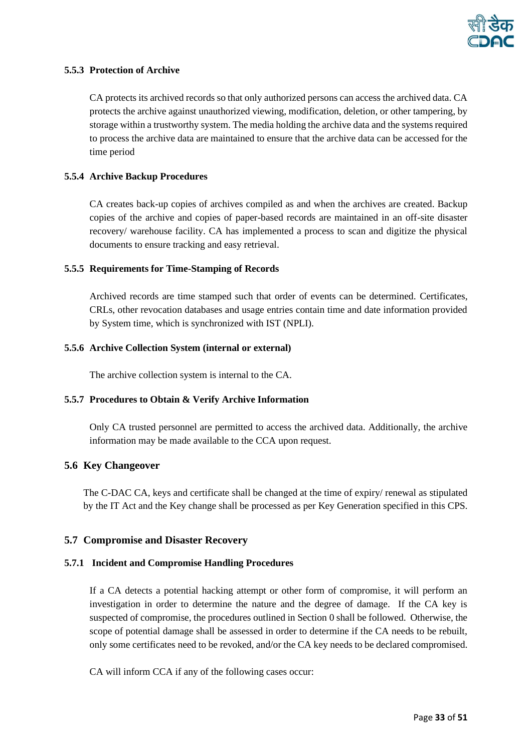

#### <span id="page-32-0"></span>**5.5.3 Protection of Archive**

CA protects its archived records so that only authorized persons can access the archived data. CA protects the archive against unauthorized viewing, modification, deletion, or other tampering, by storage within a trustworthy system. The media holding the archive data and the systems required to process the archive data are maintained to ensure that the archive data can be accessed for the time period

#### <span id="page-32-1"></span>**5.5.4 Archive Backup Procedures**

CA creates back-up copies of archives compiled as and when the archives are created. Backup copies of the archive and copies of paper-based records are maintained in an off-site disaster recovery/ warehouse facility. CA has implemented a process to scan and digitize the physical documents to ensure tracking and easy retrieval.

#### <span id="page-32-2"></span>**5.5.5 Requirements for Time-Stamping of Records**

Archived records are time stamped such that order of events can be determined. Certificates, CRLs, other revocation databases and usage entries contain time and date information provided by System time, which is synchronized with IST (NPLI).

#### <span id="page-32-3"></span>**5.5.6 Archive Collection System (internal or external)**

The archive collection system is internal to the CA.

# <span id="page-32-4"></span>**5.5.7 Procedures to Obtain & Verify Archive Information**

Only CA trusted personnel are permitted to access the archived data. Additionally, the archive information may be made available to the CCA upon request.

# <span id="page-32-5"></span>**5.6 Key Changeover**

The C-DAC CA, keys and certificate shall be changed at the time of expiry/ renewal as stipulated by the IT Act and the Key change shall be processed as per Key Generation specified in this CPS.

#### <span id="page-32-6"></span>**5.7 Compromise and Disaster Recovery**

#### <span id="page-32-7"></span>**5.7.1 Incident and Compromise Handling Procedures**

If a CA detects a potential hacking attempt or other form of compromise, it will perform an investigation in order to determine the nature and the degree of damage. If the CA key is suspected of compromise, the procedures outlined in Sectio[n 0](#page-33-1) shall be followed. Otherwise, the scope of potential damage shall be assessed in order to determine if the CA needs to be rebuilt, only some certificates need to be revoked, and/or the CA key needs to be declared compromised.

CA will inform CCA if any of the following cases occur: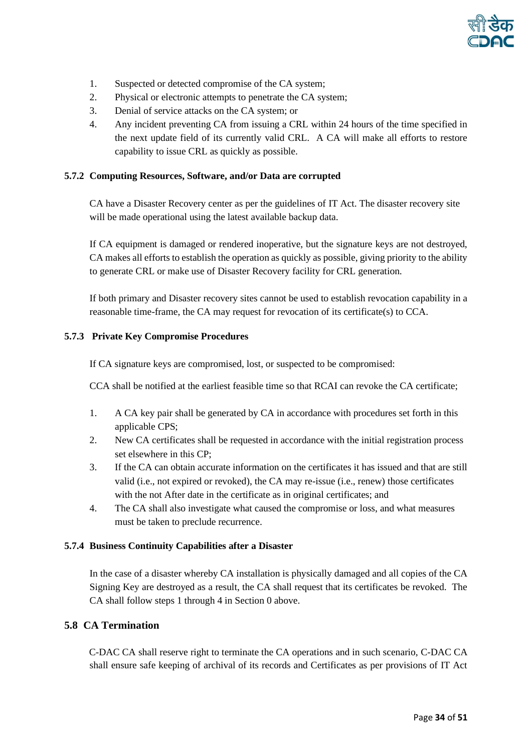

- 1. Suspected or detected compromise of the CA system;
- 2. Physical or electronic attempts to penetrate the CA system;
- 3. Denial of service attacks on the CA system; or
- 4. Any incident preventing CA from issuing a CRL within 24 hours of the time specified in the next update field of its currently valid CRL. A CA will make all efforts to restore capability to issue CRL as quickly as possible.

#### <span id="page-33-0"></span>**5.7.2 Computing Resources, Software, and/or Data are corrupted**

CA have a Disaster Recovery center as per the guidelines of IT Act. The disaster recovery site will be made operational using the latest available backup data.

If CA equipment is damaged or rendered inoperative, but the signature keys are not destroyed, CA makes all efforts to establish the operation as quickly as possible, giving priority to the ability to generate CRL or make use of Disaster Recovery facility for CRL generation.

If both primary and Disaster recovery sites cannot be used to establish revocation capability in a reasonable time-frame, the CA may request for revocation of its certificate(s) to CCA.

#### <span id="page-33-1"></span>**5.7.3 Private Key Compromise Procedures**

If CA signature keys are compromised, lost, or suspected to be compromised:

CCA shall be notified at the earliest feasible time so that RCAI can revoke the CA certificate;

- 1. A CA key pair shall be generated by CA in accordance with procedures set forth in this applicable CPS;
- 2. New CA certificates shall be requested in accordance with the initial registration process set elsewhere in this CP;
- 3. If the CA can obtain accurate information on the certificates it has issued and that are still valid (i.e., not expired or revoked), the CA may re-issue (i.e., renew) those certificates with the not After date in the certificate as in original certificates; and
- 4. The CA shall also investigate what caused the compromise or loss, and what measures must be taken to preclude recurrence.

#### <span id="page-33-2"></span>**5.7.4 Business Continuity Capabilities after a Disaster**

In the case of a disaster whereby CA installation is physically damaged and all copies of the CA Signing Key are destroyed as a result, the CA shall request that its certificates be revoked. The CA shall follow steps 1 through 4 in Section [0](#page-33-1) above.

# <span id="page-33-3"></span>**5.8 CA Termination**

C-DAC CA shall reserve right to terminate the CA operations and in such scenario, C-DAC CA shall ensure safe keeping of archival of its records and Certificates as per provisions of IT Act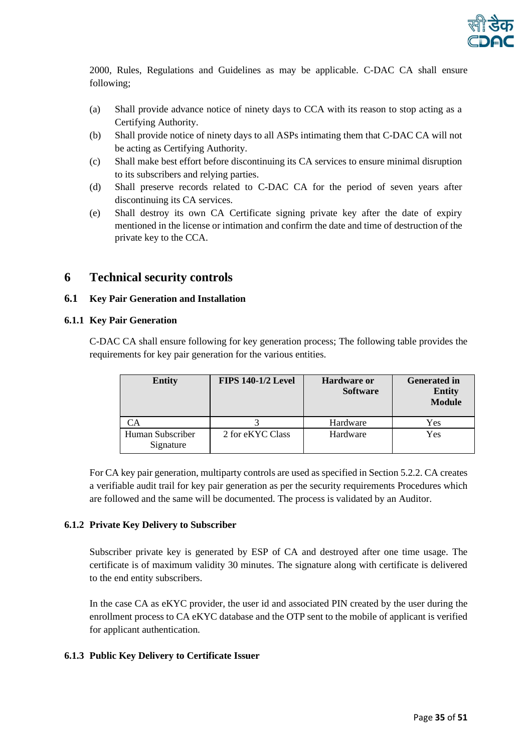

2000, Rules, Regulations and Guidelines as may be applicable. C-DAC CA shall ensure following;

- (a) Shall provide advance notice of ninety days to CCA with its reason to stop acting as a Certifying Authority.
- (b) Shall provide notice of ninety days to all ASPs intimating them that C-DAC CA will not be acting as Certifying Authority.
- (c) Shall make best effort before discontinuing its CA services to ensure minimal disruption to its subscribers and relying parties.
- (d) Shall preserve records related to C-DAC CA for the period of seven years after discontinuing its CA services.
- (e) Shall destroy its own CA Certificate signing private key after the date of expiry mentioned in the license or intimation and confirm the date and time of destruction of the private key to the CCA.

# <span id="page-34-0"></span>**6 Technical security controls**

#### <span id="page-34-1"></span>**6.1 Key Pair Generation and Installation**

#### <span id="page-34-2"></span>**6.1.1 Key Pair Generation**

C-DAC CA shall ensure following for key generation process; The following table provides the requirements for key pair generation for the various entities.

| <b>Entity</b>                 | <b>FIPS 140-1/2 Level</b> | <b>Hardware or</b><br><b>Software</b> | <b>Generated in</b><br><b>Entity</b><br><b>Module</b> |
|-------------------------------|---------------------------|---------------------------------------|-------------------------------------------------------|
|                               |                           | Hardware                              | Yes                                                   |
| Human Subscriber<br>Signature | 2 for eKYC Class          | Hardware                              | Yes                                                   |

For CA key pair generation, multiparty controls are used as specified in Sectio[n 5.2.2.](#page-25-2) CA creates a verifiable audit trail for key pair generation as per the security requirements Procedures which are followed and the same will be documented. The process is validated by an Auditor.

#### <span id="page-34-3"></span>**6.1.2 Private Key Delivery to Subscriber**

Subscriber private key is generated by ESP of CA and destroyed after one time usage. The certificate is of maximum validity 30 minutes. The signature along with certificate is delivered to the end entity subscribers.

In the case CA as eKYC provider, the user id and associated PIN created by the user during the enrollment process to CA eKYC database and the OTP sent to the mobile of applicant is verified for applicant authentication.

#### <span id="page-34-4"></span>**6.1.3 Public Key Delivery to Certificate Issuer**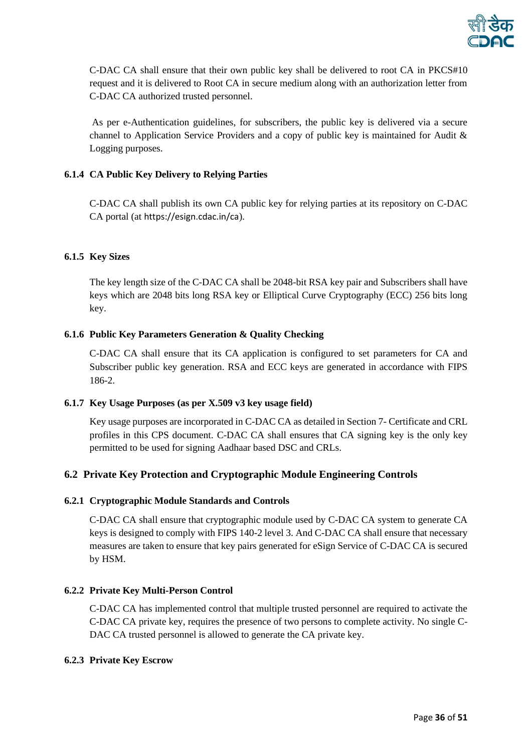

C-DAC CA shall ensure that their own public key shall be delivered to root CA in PKCS#10 request and it is delivered to Root CA in secure medium along with an authorization letter from C-DAC CA authorized trusted personnel.

As per e-Authentication guidelines, for subscribers, the public key is delivered via a secure channel to Application Service Providers and a copy of public key is maintained for Audit & Logging purposes.

# <span id="page-35-0"></span>**6.1.4 CA Public Key Delivery to Relying Parties**

C-DAC CA shall publish its own CA public key for relying parties at its repository on C-DAC CA portal (at https://esign.cdac.in/ca).

#### <span id="page-35-1"></span>**6.1.5 Key Sizes**

The key length size of the C-DAC CA shall be 2048-bit RSA key pair and Subscribers shall have keys which are 2048 bits long RSA key or Elliptical Curve Cryptography (ECC) 256 bits long key.

#### <span id="page-35-2"></span>**6.1.6 Public Key Parameters Generation & Quality Checking**

C-DAC CA shall ensure that its CA application is configured to set parameters for CA and Subscriber public key generation. RSA and ECC keys are generated in accordance with FIPS 186-2.

#### <span id="page-35-3"></span>**6.1.7 Key Usage Purposes (as per X.509 v3 key usage field)**

Key usage purposes are incorporated in C-DAC CA as detailed in Section 7- Certificate and CRL profiles in this CPS document. C-DAC CA shall ensures that CA signing key is the only key permitted to be used for signing Aadhaar based DSC and CRLs.

# <span id="page-35-4"></span>**6.2 Private Key Protection and Cryptographic Module Engineering Controls**

#### <span id="page-35-5"></span>**6.2.1 Cryptographic Module Standards and Controls**

C-DAC CA shall ensure that cryptographic module used by C-DAC CA system to generate CA keys is designed to comply with FIPS 140-2 level 3. And C-DAC CA shall ensure that necessary measures are taken to ensure that key pairs generated for eSign Service of C-DAC CA is secured by HSM.

#### <span id="page-35-6"></span>**6.2.2 Private Key Multi-Person Control**

C-DAC CA has implemented control that multiple trusted personnel are required to activate the C-DAC CA private key, requires the presence of two persons to complete activity. No single C-DAC CA trusted personnel is allowed to generate the CA private key.

#### <span id="page-35-7"></span>**6.2.3 Private Key Escrow**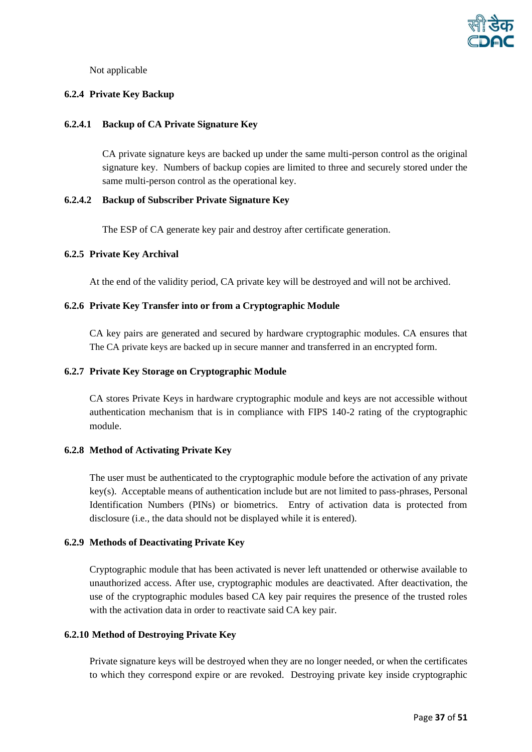

Not applicable

#### <span id="page-36-0"></span>**6.2.4 Private Key Backup**

#### **6.2.4.1 Backup of CA Private Signature Key**

CA private signature keys are backed up under the same multi-person control as the original signature key. Numbers of backup copies are limited to three and securely stored under the same multi-person control as the operational key.

#### **6.2.4.2 Backup of Subscriber Private Signature Key**

The ESP of CA generate key pair and destroy after certificate generation.

#### <span id="page-36-1"></span>**6.2.5 Private Key Archival**

At the end of the validity period, CA private key will be destroyed and will not be archived.

#### <span id="page-36-2"></span>**6.2.6 Private Key Transfer into or from a Cryptographic Module**

CA key pairs are generated and secured by hardware cryptographic modules. CA ensures that The CA private keys are backed up in secure manner and transferred in an encrypted form.

#### <span id="page-36-3"></span>**6.2.7 Private Key Storage on Cryptographic Module**

CA stores Private Keys in hardware cryptographic module and keys are not accessible without authentication mechanism that is in compliance with FIPS 140-2 rating of the cryptographic module.

#### <span id="page-36-4"></span>**6.2.8 Method of Activating Private Key**

The user must be authenticated to the cryptographic module before the activation of any private key(s). Acceptable means of authentication include but are not limited to pass-phrases, Personal Identification Numbers (PINs) or biometrics. Entry of activation data is protected from disclosure (i.e., the data should not be displayed while it is entered).

#### <span id="page-36-5"></span>**6.2.9 Methods of Deactivating Private Key**

Cryptographic module that has been activated is never left unattended or otherwise available to unauthorized access. After use, cryptographic modules are deactivated. After deactivation, the use of the cryptographic modules based CA key pair requires the presence of the trusted roles with the activation data in order to reactivate said CA key pair.

#### <span id="page-36-6"></span>**6.2.10 Method of Destroying Private Key**

Private signature keys will be destroyed when they are no longer needed, or when the certificates to which they correspond expire or are revoked. Destroying private key inside cryptographic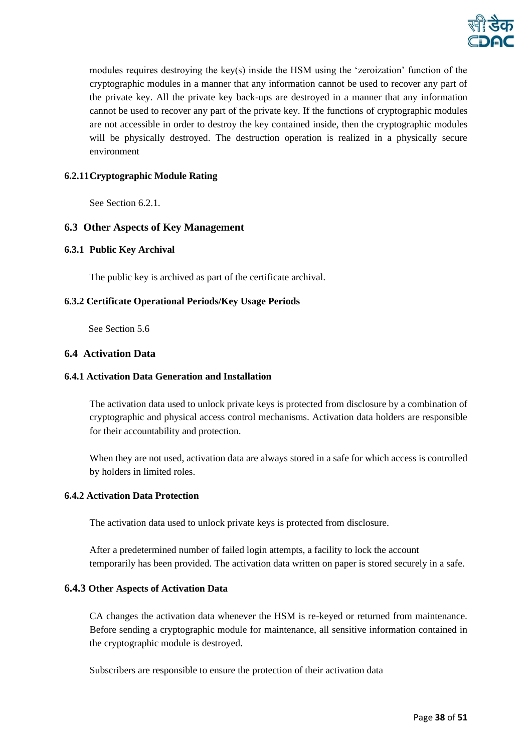

modules requires destroying the key(s) inside the HSM using the 'zeroization' function of the cryptographic modules in a manner that any information cannot be used to recover any part of the private key. All the private key back-ups are destroyed in a manner that any information cannot be used to recover any part of the private key. If the functions of cryptographic modules are not accessible in order to destroy the key contained inside, then the cryptographic modules will be physically destroyed. The destruction operation is realized in a physically secure environment

# <span id="page-37-0"></span>**6.2.11Cryptographic Module Rating**

See Sectio[n 6.2.1.](#page-35-5)

#### <span id="page-37-1"></span>**6.3 Other Aspects of Key Management**

#### <span id="page-37-2"></span>**6.3.1 Public Key Archival**

The public key is archived as part of the certificate archival.

#### <span id="page-37-3"></span>**6.3.2 Certificate Operational Periods/Key Usage Periods**

See Section 5.6

#### <span id="page-37-4"></span>**6.4 Activation Data**

#### <span id="page-37-5"></span>**6.4.1 Activation Data Generation and Installation**

The activation data used to unlock private keys is protected from disclosure by a combination of cryptographic and physical access control mechanisms. Activation data holders are responsible for their accountability and protection.

When they are not used, activation data are always stored in a safe for which access is controlled by holders in limited roles.

#### <span id="page-37-6"></span>**6.4.2 Activation Data Protection**

The activation data used to unlock private keys is protected from disclosure.

After a predetermined number of failed login attempts, a facility to lock the account temporarily has been provided. The activation data written on paper is stored securely in a safe.

#### <span id="page-37-7"></span>**6.4.3 Other Aspects of Activation Data**

CA changes the activation data whenever the HSM is re-keyed or returned from maintenance. Before sending a cryptographic module for maintenance, all sensitive information contained in the cryptographic module is destroyed.

Subscribers are responsible to ensure the protection of their activation data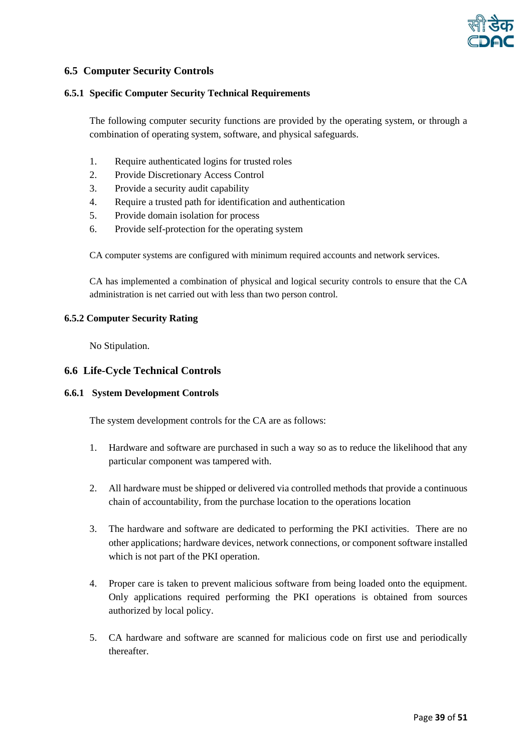

# <span id="page-38-0"></span>**6.5 Computer Security Controls**

#### <span id="page-38-1"></span>**6.5.1 Specific Computer Security Technical Requirements**

The following computer security functions are provided by the operating system, or through a combination of operating system, software, and physical safeguards.

- 1. Require authenticated logins for trusted roles
- 2. Provide Discretionary Access Control
- 3. Provide a security audit capability
- 4. Require a trusted path for identification and authentication
- 5. Provide domain isolation for process
- 6. Provide self-protection for the operating system

CA computer systems are configured with minimum required accounts and network services.

CA has implemented a combination of physical and logical security controls to ensure that the CA administration is net carried out with less than two person control.

#### <span id="page-38-2"></span>**6.5.2 Computer Security Rating**

No Stipulation.

#### <span id="page-38-3"></span>**6.6 Life-Cycle Technical Controls**

#### <span id="page-38-4"></span>**6.6.1 System Development Controls**

The system development controls for the CA are as follows:

- 1. Hardware and software are purchased in such a way so as to reduce the likelihood that any particular component was tampered with.
- 2. All hardware must be shipped or delivered via controlled methods that provide a continuous chain of accountability, from the purchase location to the operations location
- 3. The hardware and software are dedicated to performing the PKI activities. There are no other applications; hardware devices, network connections, or component software installed which is not part of the PKI operation.
- 4. Proper care is taken to prevent malicious software from being loaded onto the equipment. Only applications required performing the PKI operations is obtained from sources authorized by local policy.
- 5. CA hardware and software are scanned for malicious code on first use and periodically thereafter.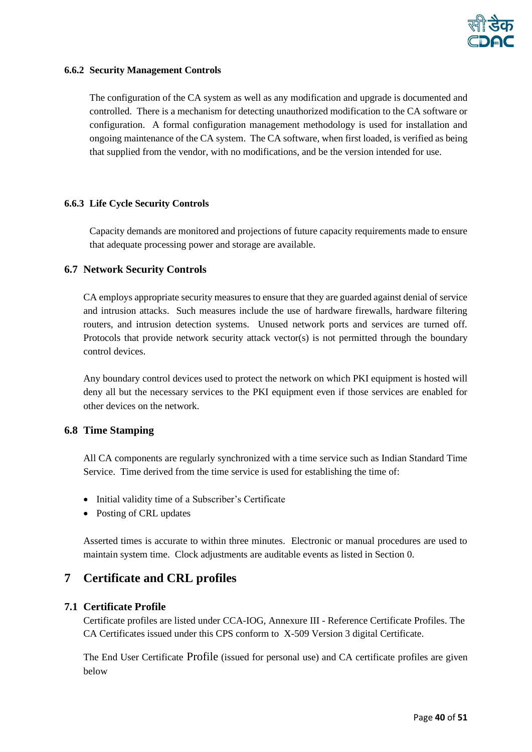

#### <span id="page-39-0"></span>**6.6.2 Security Management Controls**

The configuration of the CA system as well as any modification and upgrade is documented and controlled. There is a mechanism for detecting unauthorized modification to the CA software or configuration. A formal configuration management methodology is used for installation and ongoing maintenance of the CA system. The CA software, when first loaded, is verified as being that supplied from the vendor, with no modifications, and be the version intended for use.

#### <span id="page-39-1"></span>**6.6.3 Life Cycle Security Controls**

Capacity demands are monitored and projections of future capacity requirements made to ensure that adequate processing power and storage are available.

#### <span id="page-39-2"></span>**6.7 Network Security Controls**

CA employs appropriate security measures to ensure that they are guarded against denial of service and intrusion attacks. Such measures include the use of hardware firewalls, hardware filtering routers, and intrusion detection systems. Unused network ports and services are turned off. Protocols that provide network security attack vector(s) is not permitted through the boundary control devices.

Any boundary control devices used to protect the network on which PKI equipment is hosted will deny all but the necessary services to the PKI equipment even if those services are enabled for other devices on the network.

#### <span id="page-39-3"></span>**6.8 Time Stamping**

All CA components are regularly synchronized with a time service such as Indian Standard Time Service. Time derived from the time service is used for establishing the time of:

- Initial validity time of a Subscriber's Certificate
- Posting of CRL updates

Asserted times is accurate to within three minutes. Electronic or manual procedures are used to maintain system time. Clock adjustments are auditable events as listed in Section [0.](#page-28-0)

# <span id="page-39-4"></span>**7 Certificate and CRL profiles**

# <span id="page-39-5"></span>**7.1 Certificate Profile**

Certificate profiles are listed under CCA-IOG, Annexure III - Reference Certificate Profiles. The CA Certificates issued under this CPS conform to X-509 Version 3 digital Certificate.

The End User Certificate Profile (issued for personal use) and CA certificate profiles are given below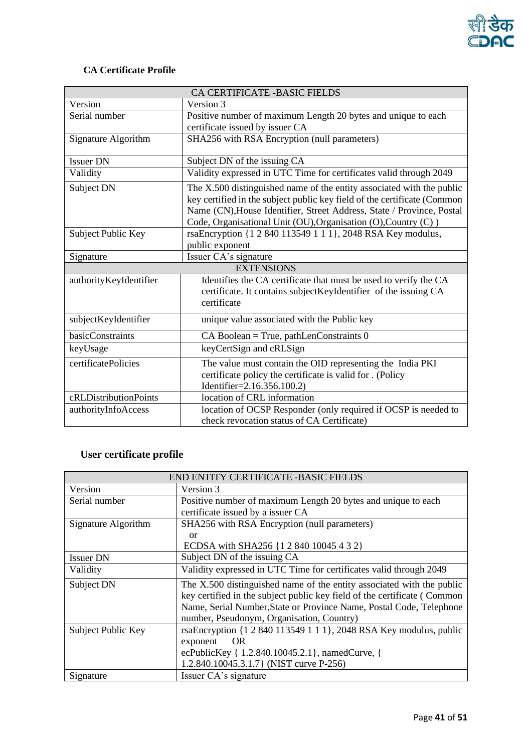

# **CA Certificate Profile**

| CA CERTIFICATE -BASIC FIELDS |                                                                                                                                                   |  |
|------------------------------|---------------------------------------------------------------------------------------------------------------------------------------------------|--|
| Version                      | Version 3                                                                                                                                         |  |
| Serial number                | Positive number of maximum Length 20 bytes and unique to each                                                                                     |  |
|                              | certificate issued by issuer CA                                                                                                                   |  |
| Signature Algorithm          | SHA256 with RSA Encryption (null parameters)                                                                                                      |  |
| <b>Issuer DN</b>             | Subject DN of the issuing CA                                                                                                                      |  |
| Validity                     | Validity expressed in UTC Time for certificates valid through 2049                                                                                |  |
| Subject DN                   | The X.500 distinguished name of the entity associated with the public<br>key certified in the subject public key field of the certificate (Common |  |
|                              | Name (CN), House Identifier, Street Address, State / Province, Postal                                                                             |  |
|                              | Code, Organisational Unit (OU), Organisation (O), Country (C))                                                                                    |  |
| Subject Public Key           | rsaEncryption {1 2 840 113549 1 1 1}, 2048 RSA Key modulus,                                                                                       |  |
|                              | public exponent                                                                                                                                   |  |
| Signature                    | Issuer CA's signature                                                                                                                             |  |
|                              | <b>EXTENSIONS</b>                                                                                                                                 |  |
| authorityKeyIdentifier       | Identifies the CA certificate that must be used to verify the CA                                                                                  |  |
|                              | certificate. It contains subjectKeyIdentifier of the issuing CA                                                                                   |  |
|                              | certificate                                                                                                                                       |  |
| subjectKeyIdentifier         | unique value associated with the Public key                                                                                                       |  |
| basicConstraints             | CA Boolean = True, pathLenConstraints 0                                                                                                           |  |
| keyUsage                     | keyCertSign and cRLSign                                                                                                                           |  |
| certificatePolicies          | The value must contain the OID representing the India PKI                                                                                         |  |
|                              | certificate policy the certificate is valid for . (Policy                                                                                         |  |
|                              | Identifier=2.16.356.100.2)                                                                                                                        |  |
| cRLDistributionPoints        | location of CRL information                                                                                                                       |  |
| authorityInfoAccess          | location of OCSP Responder (only required if OCSP is needed to                                                                                    |  |
|                              | check revocation status of CA Certificate)                                                                                                        |  |

# **User certificate profile**

| END ENTITY CERTIFICATE -BASIC FIELDS |                                                                          |  |
|--------------------------------------|--------------------------------------------------------------------------|--|
| Version                              | Version 3                                                                |  |
| Serial number                        | Positive number of maximum Length 20 bytes and unique to each            |  |
|                                      | certificate issued by a issuer CA                                        |  |
| Signature Algorithm                  | SHA256 with RSA Encryption (null parameters)                             |  |
|                                      | or                                                                       |  |
|                                      | ECDSA with SHA256 {1 2 840 10045 4 3 2}                                  |  |
| <b>Issuer DN</b>                     | Subject DN of the issuing CA                                             |  |
| Validity                             | Validity expressed in UTC Time for certificates valid through 2049       |  |
| Subject DN                           | The X.500 distinguished name of the entity associated with the public    |  |
|                                      | key certified in the subject public key field of the certificate (Common |  |
|                                      | Name, Serial Number, State or Province Name, Postal Code, Telephone      |  |
|                                      | number, Pseudonym, Organisation, Country)                                |  |
| Subject Public Key                   | rsaEncryption {1 2 840 113549 1 1 1}, 2048 RSA Key modulus, public       |  |
|                                      | <b>OR</b><br>exponent                                                    |  |
|                                      | ecPublicKey { 1.2.840.10045.2.1}, namedCurve, {                          |  |
|                                      | 1.2.840.10045.3.1.7 (NIST curve P-256)                                   |  |
| Signature                            | Issuer CA's signature                                                    |  |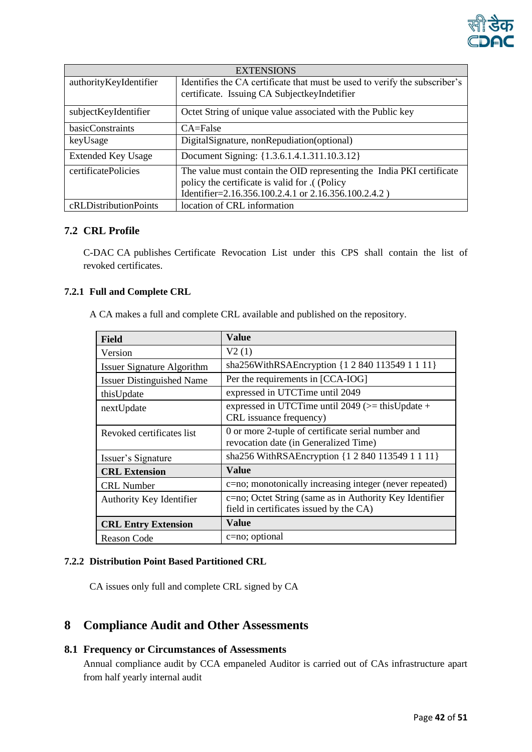

| <b>EXTENSIONS</b>         |                                                                            |  |
|---------------------------|----------------------------------------------------------------------------|--|
| authorityKeyIdentifier    | Identifies the CA certificate that must be used to verify the subscriber's |  |
|                           | certificate. Issuing CA Subject key Indetifier                             |  |
| subjectKeyIdentifier      | Octet String of unique value associated with the Public key                |  |
| basicConstraints          | CA=False                                                                   |  |
| keyUsage                  | DigitalSignature, nonRepudiation(optional)                                 |  |
| <b>Extended Key Usage</b> | Document Signing: {1.3.6.1.4.1.311.10.3.12}                                |  |
| certificatePolicies       | The value must contain the OID representing the India PKI certificate      |  |
|                           | policy the certificate is valid for .( (Policy                             |  |
|                           | Identifier=2.16.356.100.2.4.1 or 2.16.356.100.2.4.2)                       |  |
| cRLDistributionPoints     | location of CRL information                                                |  |

# <span id="page-41-0"></span>**7.2 CRL Profile**

C-DAC CA publishes Certificate Revocation List under this CPS shall contain the list of revoked certificates.

# <span id="page-41-1"></span>**7.2.1 Full and Complete CRL**

A CA makes a full and complete CRL available and published on the repository.

| <b>Field</b>                      | <b>Value</b>                                                                                       |
|-----------------------------------|----------------------------------------------------------------------------------------------------|
| Version                           | V2(1)                                                                                              |
| <b>Issuer Signature Algorithm</b> | sha256WithRSAEncryption {1 2 840 113549 1 1 11}                                                    |
| <b>Issuer Distinguished Name</b>  | Per the requirements in [CCA-IOG]                                                                  |
| thisUpdate                        | expressed in UTCTime until 2049                                                                    |
| nextUpdate                        | expressed in UTCTime until 2049 ( $>$ = this Update +<br>CRL issuance frequency)                   |
| Revoked certificates list         | 0 or more 2-tuple of certificate serial number and<br>revocation date (in Generalized Time)        |
| Issuer's Signature                | sha256 WithRSAEncryption {1 2 840 113549 1 1 11}                                                   |
| <b>CRL Extension</b>              | Value                                                                                              |
| <b>CRL</b> Number                 | c=no; monotonically increasing integer (never repeated)                                            |
| Authority Key Identifier          | c=no; Octet String (same as in Authority Key Identifier<br>field in certificates issued by the CA) |
| <b>CRL Entry Extension</b>        | Value                                                                                              |
| Reason Code                       | $c = no$ ; optional                                                                                |

# <span id="page-41-2"></span>**7.2.2 Distribution Point Based Partitioned CRL**

CA issues only full and complete CRL signed by CA

# <span id="page-41-3"></span>**8 Compliance Audit and Other Assessments**

# <span id="page-41-4"></span>**8.1 Frequency or Circumstances of Assessments**

Annual compliance audit by CCA empaneled Auditor is carried out of CAs infrastructure apart from half yearly internal audit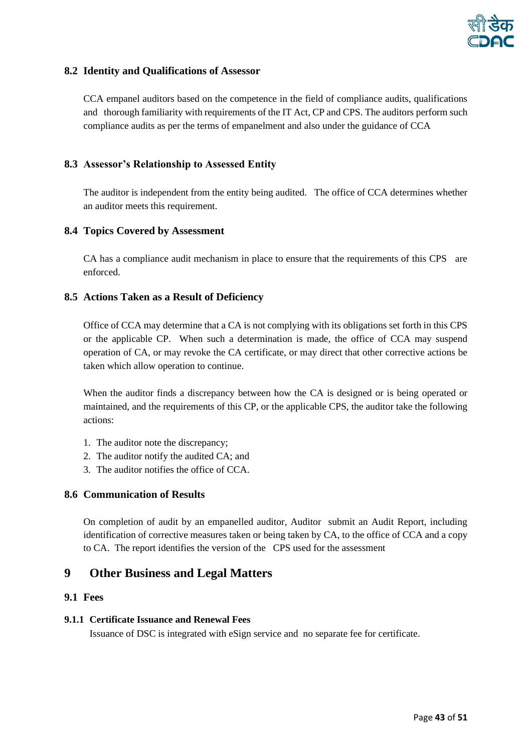

# <span id="page-42-0"></span>**8.2 Identity and Qualifications of Assessor**

CCA empanel auditors based on the competence in the field of compliance audits, qualifications and thorough familiarity with requirements of the IT Act, CP and CPS. The auditors perform such compliance audits as per the terms of empanelment and also under the guidance of CCA

# <span id="page-42-1"></span>**8.3 Assessor's Relationship to Assessed Entity**

The auditor is independent from the entity being audited. The office of CCA determines whether an auditor meets this requirement.

# <span id="page-42-2"></span>**8.4 Topics Covered by Assessment**

CA has a compliance audit mechanism in place to ensure that the requirements of this CPS are enforced.

#### <span id="page-42-3"></span>**8.5 Actions Taken as a Result of Deficiency**

Office of CCA may determine that a CA is not complying with its obligations set forth in this CPS or the applicable CP. When such a determination is made, the office of CCA may suspend operation of CA, or may revoke the CA certificate, or may direct that other corrective actions be taken which allow operation to continue.

When the auditor finds a discrepancy between how the CA is designed or is being operated or maintained, and the requirements of this CP, or the applicable CPS, the auditor take the following actions:

- 1. The auditor note the discrepancy;
- 2. The auditor notify the audited CA; and
- 3. The auditor notifies the office of CCA.

# <span id="page-42-4"></span>**8.6 Communication of Results**

On completion of audit by an empanelled auditor, Auditor submit an Audit Report, including identification of corrective measures taken or being taken by CA, to the office of CCA and a copy to CA. The report identifies the version of the CPS used for the assessment

# <span id="page-42-5"></span>**9 Other Business and Legal Matters**

#### <span id="page-42-6"></span>**9.1 Fees**

#### <span id="page-42-7"></span>**9.1.1 Certificate Issuance and Renewal Fees**

Issuance of DSC is integrated with eSign service and no separate fee for certificate.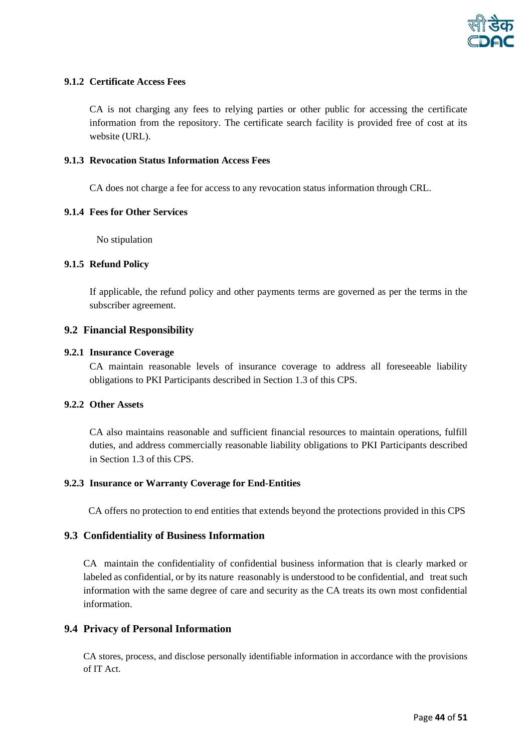

#### <span id="page-43-0"></span>**9.1.2 Certificate Access Fees**

CA is not charging any fees to relying parties or other public for accessing the certificate information from the repository. The certificate search facility is provided free of cost at its website (URL).

#### <span id="page-43-1"></span>**9.1.3 Revocation Status Information Access Fees**

CA does not charge a fee for access to any revocation status information through CRL.

#### <span id="page-43-2"></span>**9.1.4 Fees for Other Services**

No stipulation

#### <span id="page-43-3"></span>**9.1.5 Refund Policy**

If applicable, the refund policy and other payments terms are governed as per the terms in the subscriber agreement.

#### <span id="page-43-4"></span>**9.2 Financial Responsibility**

#### <span id="page-43-5"></span>**9.2.1 Insurance Coverage**

CA maintain reasonable levels of insurance coverage to address all foreseeable liability obligations to PKI Participants described in Section 1.3 of this CPS.

#### <span id="page-43-6"></span>**9.2.2 Other Assets**

CA also maintains reasonable and sufficient financial resources to maintain operations, fulfill duties, and address commercially reasonable liability obligations to PKI Participants described in Section [1.3](#page-13-1) of this CPS.

#### <span id="page-43-7"></span>**9.2.3 Insurance or Warranty Coverage for End-Entities**

CA offers no protection to end entities that extends beyond the protections provided in this CPS

#### <span id="page-43-8"></span>**9.3 Confidentiality of Business Information**

CA maintain the confidentiality of confidential business information that is clearly marked or labeled as confidential, or by its nature reasonably is understood to be confidential, and treat such information with the same degree of care and security as the CA treats its own most confidential information.

#### <span id="page-43-9"></span>**9.4 Privacy of Personal Information**

CA stores, process, and disclose personally identifiable information in accordance with the provisions of IT Act.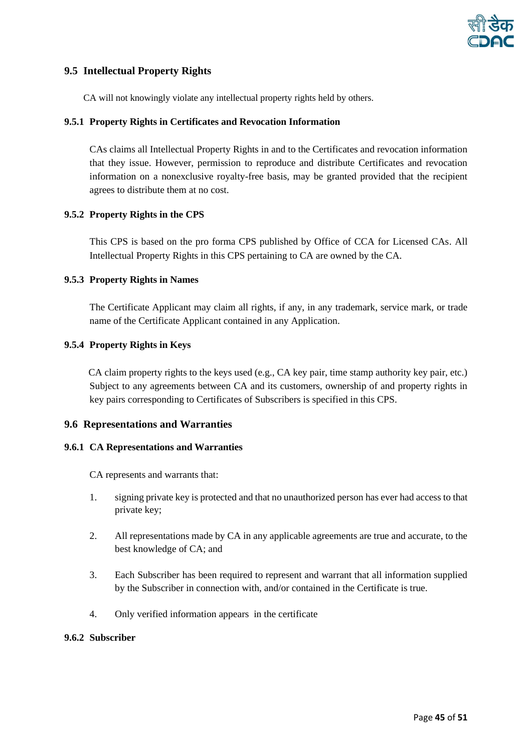

# <span id="page-44-0"></span>**9.5 Intellectual Property Rights**

CA will not knowingly violate any intellectual property rights held by others.

#### <span id="page-44-1"></span>**9.5.1 Property Rights in Certificates and Revocation Information**

CAs claims all Intellectual Property Rights in and to the Certificates and revocation information that they issue. However, permission to reproduce and distribute Certificates and revocation information on a nonexclusive royalty-free basis, may be granted provided that the recipient agrees to distribute them at no cost.

#### <span id="page-44-2"></span>**9.5.2 Property Rights in the CPS**

This CPS is based on the pro forma CPS published by Office of CCA for Licensed CAs. All Intellectual Property Rights in this CPS pertaining to CA are owned by the CA.

#### <span id="page-44-3"></span>**9.5.3 Property Rights in Names**

The Certificate Applicant may claim all rights, if any, in any trademark, service mark, or trade name of the Certificate Applicant contained in any Application.

#### <span id="page-44-4"></span>**9.5.4 Property Rights in Keys**

CA claim property rights to the keys used (e.g., CA key pair, time stamp authority key pair, etc.) Subject to any agreements between CA and its customers, ownership of and property rights in key pairs corresponding to Certificates of Subscribers is specified in this CPS.

#### <span id="page-44-5"></span>**9.6 Representations and Warranties**

#### <span id="page-44-6"></span>**9.6.1 CA Representations and Warranties**

CA represents and warrants that:

- 1. signing private key is protected and that no unauthorized person has ever had access to that private key;
- 2. All representations made by CA in any applicable agreements are true and accurate, to the best knowledge of CA; and
- 3. Each Subscriber has been required to represent and warrant that all information supplied by the Subscriber in connection with, and/or contained in the Certificate is true.
- 4. Only verified information appears in the certificate

#### <span id="page-44-7"></span>**9.6.2 Subscriber**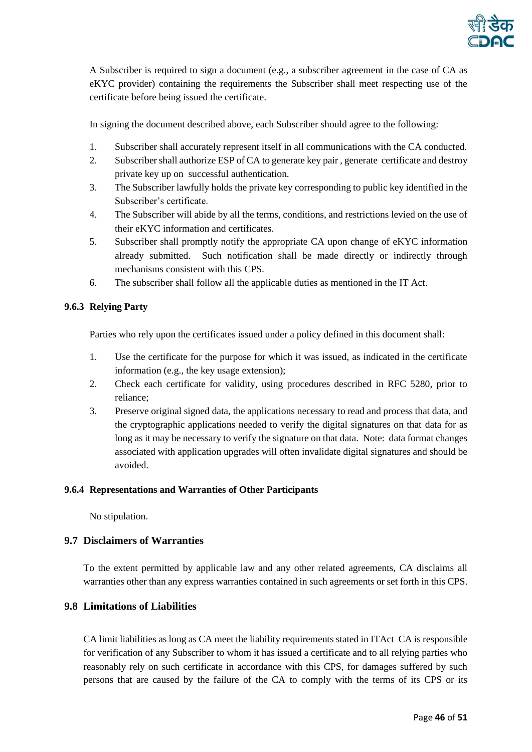

A Subscriber is required to sign a document (e.g., a subscriber agreement in the case of CA as eKYC provider) containing the requirements the Subscriber shall meet respecting use of the certificate before being issued the certificate.

In signing the document described above, each Subscriber should agree to the following:

- 1. Subscriber shall accurately represent itself in all communications with the CA conducted.
- 2. Subscriber shall authorize ESP of CA to generate key pair , generate certificate and destroy private key up on successful authentication.
- 3. The Subscriber lawfully holds the private key corresponding to public key identified in the Subscriber's certificate.
- 4. The Subscriber will abide by all the terms, conditions, and restrictions levied on the use of their eKYC information and certificates.
- 5. Subscriber shall promptly notify the appropriate CA upon change of eKYC information already submitted. Such notification shall be made directly or indirectly through mechanisms consistent with this CPS.
- 6. The subscriber shall follow all the applicable duties as mentioned in the IT Act.

#### <span id="page-45-0"></span>**9.6.3 Relying Party**

Parties who rely upon the certificates issued under a policy defined in this document shall:

- 1. Use the certificate for the purpose for which it was issued, as indicated in the certificate information (e.g., the key usage extension);
- 2. Check each certificate for validity, using procedures described in RFC 5280, prior to reliance;
- 3. Preserve original signed data, the applications necessary to read and process that data, and the cryptographic applications needed to verify the digital signatures on that data for as long as it may be necessary to verify the signature on that data. Note: data format changes associated with application upgrades will often invalidate digital signatures and should be avoided.

#### <span id="page-45-1"></span>**9.6.4 Representations and Warranties of Other Participants**

No stipulation.

# <span id="page-45-2"></span>**9.7 Disclaimers of Warranties**

To the extent permitted by applicable law and any other related agreements, CA disclaims all warranties other than any express warranties contained in such agreements or set forth in this CPS.

# <span id="page-45-3"></span>**9.8 Limitations of Liabilities**

CA limit liabilities as long as CA meet the liability requirements stated in ITAct CA is responsible for verification of any Subscriber to whom it has issued a certificate and to all relying parties who reasonably rely on such certificate in accordance with this CPS, for damages suffered by such persons that are caused by the failure of the CA to comply with the terms of its CPS or its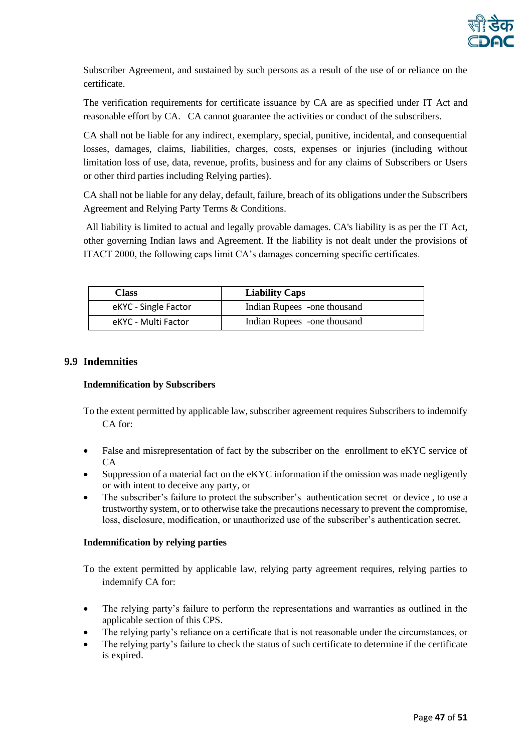

Subscriber Agreement, and sustained by such persons as a result of the use of or reliance on the certificate.

The verification requirements for certificate issuance by CA are as specified under IT Act and reasonable effort by CA. CA cannot guarantee the activities or conduct of the subscribers.

CA shall not be liable for any indirect, exemplary, special, punitive, incidental, and consequential losses, damages, claims, liabilities, charges, costs, expenses or injuries (including without limitation loss of use, data, revenue, profits, business and for any claims of Subscribers or Users or other third parties including Relying parties).

CA shall not be liable for any delay, default, failure, breach of its obligations under the Subscribers Agreement and Relying Party Terms & Conditions.

All liability is limited to actual and legally provable damages. CA's liability is as per the IT Act, other governing Indian laws and Agreement. If the liability is not dealt under the provisions of ITACT 2000, the following caps limit CA's damages concerning specific certificates.

| Class                | <b>Liability Caps</b>       |
|----------------------|-----------------------------|
| eKYC - Single Factor | Indian Rupees -one thousand |
| eKYC - Multi Factor  | Indian Rupees -one thousand |

# <span id="page-46-0"></span>**9.9 Indemnities**

#### <span id="page-46-1"></span>**Indemnification by Subscribers**

To the extent permitted by applicable law, subscriber agreement requires Subscribers to indemnify CA for:

- False and misrepresentation of fact by the subscriber on the enrollment to eKYC service of CA
- Suppression of a material fact on the eKYC information if the omission was made negligently or with intent to deceive any party, or
- The subscriber's failure to protect the subscriber's authentication secret or device, to use a trustworthy system, or to otherwise take the precautions necessary to prevent the compromise, loss, disclosure, modification, or unauthorized use of the subscriber's authentication secret.

#### <span id="page-46-2"></span>**Indemnification by relying parties**

To the extent permitted by applicable law, relying party agreement requires, relying parties to indemnify CA for:

- The relying party's failure to perform the representations and warranties as outlined in the applicable section of this CPS.
- The relying party's reliance on a certificate that is not reasonable under the circumstances, or
- The relying party's failure to check the status of such certificate to determine if the certificate is expired.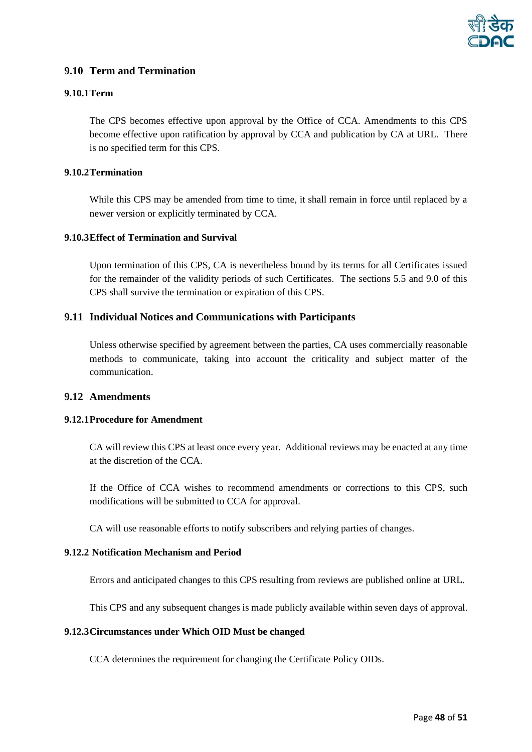

# <span id="page-47-0"></span>**9.10 Term and Termination**

#### <span id="page-47-1"></span>**9.10.1Term**

The CPS becomes effective upon approval by the Office of CCA. Amendments to this CPS become effective upon ratification by approval by CCA and publication by CA at URL. There is no specified term for this CPS.

# <span id="page-47-2"></span>**9.10.2Termination**

While this CPS may be amended from time to time, it shall remain in force until replaced by a newer version or explicitly terminated by CCA.

#### <span id="page-47-3"></span>**9.10.3Effect of Termination and Survival**

Upon termination of this CPS, CA is nevertheless bound by its terms for all Certificates issued for the remainder of the validity periods of such Certificates. The sections 5.5 and 9.0 of this CPS shall survive the termination or expiration of this CPS.

# <span id="page-47-4"></span>**9.11 Individual Notices and Communications with Participants**

Unless otherwise specified by agreement between the parties, CA uses commercially reasonable methods to communicate, taking into account the criticality and subject matter of the communication.

#### <span id="page-47-5"></span>**9.12 Amendments**

#### <span id="page-47-6"></span>**9.12.1Procedure for Amendment**

CA will review this CPS at least once every year. Additional reviews may be enacted at any time at the discretion of the CCA.

If the Office of CCA wishes to recommend amendments or corrections to this CPS, such modifications will be submitted to CCA for approval.

<span id="page-47-7"></span>CA will use reasonable efforts to notify subscribers and relying parties of changes.

# **9.12.2 Notification Mechanism and Period**

Errors and anticipated changes to this CPS resulting from reviews are published online at [URL.](http://www.certipath.com/library/downloads/CertiPath%20CP.pdf)

This CPS and any subsequent changes is made publicly available within seven days of approval.

#### <span id="page-47-8"></span>**9.12.3Circumstances under Which OID Must be changed**

CCA determines the requirement for changing the Certificate Policy OIDs.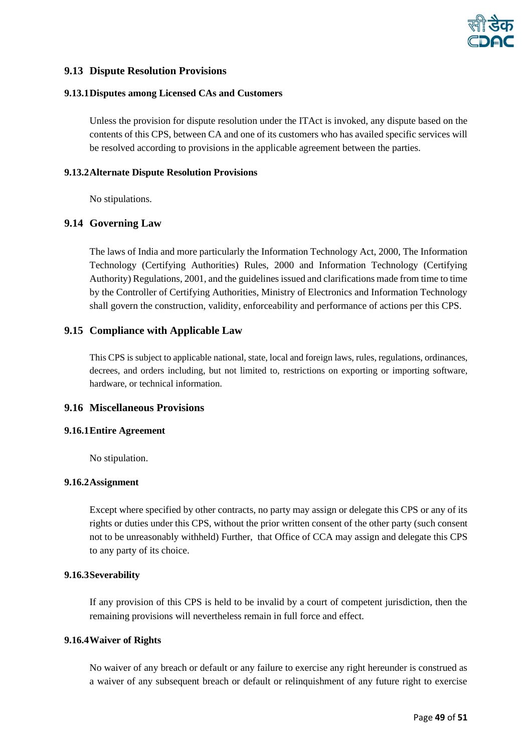

#### <span id="page-48-0"></span>**9.13 Dispute Resolution Provisions**

#### <span id="page-48-1"></span>**9.13.1Disputes among Licensed CAs and Customers**

Unless the provision for dispute resolution under the ITAct is invoked, any dispute based on the contents of this CPS, between CA and one of its customers who has availed specific services will be resolved according to provisions in the applicable agreement between the parties.

#### <span id="page-48-2"></span>**9.13.2Alternate Dispute Resolution Provisions**

No stipulations.

#### <span id="page-48-3"></span>**9.14 Governing Law**

The laws of India and more particularly the Information Technology Act, 2000, The Information Technology (Certifying Authorities) Rules, 2000 and Information Technology (Certifying Authority) Regulations, 2001, and the guidelines issued and clarifications made from time to time by the Controller of Certifying Authorities, Ministry of Electronics and Information Technology shall govern the construction, validity, enforceability and performance of actions per this CPS.

#### <span id="page-48-4"></span>**9.15 Compliance with Applicable Law**

This CPS is subject to applicable national, state, local and foreign laws, rules, regulations, ordinances, decrees, and orders including, but not limited to, restrictions on exporting or importing software, hardware, or technical information.

# <span id="page-48-5"></span>**9.16 Miscellaneous Provisions**

#### <span id="page-48-6"></span>**9.16.1Entire Agreement**

No stipulation.

#### <span id="page-48-7"></span>**9.16.2Assignment**

Except where specified by other contracts, no party may assign or delegate this CPS or any of its rights or duties under this CPS, without the prior written consent of the other party (such consent not to be unreasonably withheld) Further, that Office of CCA may assign and delegate this CPS to any party of its choice.

#### <span id="page-48-8"></span>**9.16.3Severability**

If any provision of this CPS is held to be invalid by a court of competent jurisdiction, then the remaining provisions will nevertheless remain in full force and effect.

#### <span id="page-48-9"></span>**9.16.4Waiver of Rights**

No waiver of any breach or default or any failure to exercise any right hereunder is construed as a waiver of any subsequent breach or default or relinquishment of any future right to exercise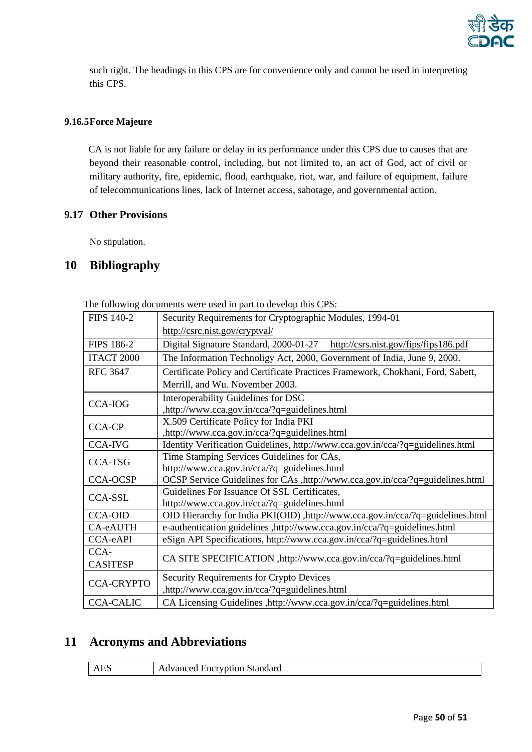

such right. The headings in this CPS are for convenience only and cannot be used in interpreting this CPS.

# <span id="page-49-0"></span>**9.16.5Force Majeure**

CA is not liable for any failure or delay in its performance under this CPS due to causes that are beyond their reasonable control, including, but not limited to, an act of God, act of civil or military authority, fire, epidemic, flood, earthquake, riot, war, and failure of equipment, failure of telecommunications lines, lack of Internet access, sabotage, and governmental action.

# <span id="page-49-1"></span>**9.17 Other Provisions**

No stipulation.

# <span id="page-49-2"></span>**10 Bibliography**

The following documents were used in part to develop this CPS:

| <b>FIPS 140-2</b> | Security Requirements for Cryptographic Modules, 1994-01                        |
|-------------------|---------------------------------------------------------------------------------|
|                   | http://csrc.nist.gov/cryptval/                                                  |
| <b>FIPS 186-2</b> | http://csrs.nist.gov/fips/fips186.pdf<br>Digital Signature Standard, 2000-01-27 |
| ITACT 2000        | The Information Technoligy Act, 2000, Government of India, June 9, 2000.        |
| <b>RFC 3647</b>   | Certificate Policy and Certificate Practices Framework, Chokhani, Ford, Sabett, |
|                   | Merrill, and Wu. November 2003.                                                 |
| <b>CCA-IOG</b>    | Interoperability Guidelines for DSC                                             |
|                   | ,http://www.cca.gov.in/cca/?q=guidelines.html                                   |
| <b>CCA-CP</b>     | X.509 Certificate Policy for India PKI                                          |
|                   | ,http://www.cca.gov.in/cca/?q=guidelines.html                                   |
| <b>CCA-IVG</b>    | Identity Verification Guidelines, http://www.cca.gov.in/cca/?q=guidelines.html  |
| <b>CCA-TSG</b>    | Time Stamping Services Guidelines for CAs,                                      |
|                   | http://www.cca.gov.in/cca/?q=guidelines.html                                    |
| <b>CCA-OCSP</b>   | OCSP Service Guidelines for CAs ,http://www.cca.gov.in/cca/?q=guidelines.html   |
| <b>CCA-SSL</b>    | Guidelines For Issuance Of SSL Certificates,                                    |
|                   | http://www.cca.gov.in/cca/?q=guidelines.html                                    |
| <b>CCA-OID</b>    | OID Hierarchy for India PKI(OID), http://www.cca.gov.in/cca/?q=guidelines.html  |
| CA-eAUTH          | e-authentication guidelines ,http://www.cca.gov.in/cca/?q=guidelines.html       |
| CCA-eAPI          | eSign API Specifications, http://www.cca.gov.in/cca/?q=guidelines.html          |
| CCA-              |                                                                                 |
| <b>CASITESP</b>   | CA SITE SPECIFICATION , http://www.cca.gov.in/cca/?q=guidelines.html            |
| <b>CCA-CRYPTO</b> | Security Requirements for Crypto Devices                                        |
|                   | ,http://www.cca.gov.in/cca/?q=guidelines.html                                   |
| <b>CCA-CALIC</b>  | CA Licensing Guidelines , http://www.cca.gov.in/cca/?q=guidelines.html          |

# <span id="page-49-3"></span>**11 Acronyms and Abbreviations**

| <b>AES</b> | <b>Advanced Encryption Standard</b> |
|------------|-------------------------------------|
|            |                                     |